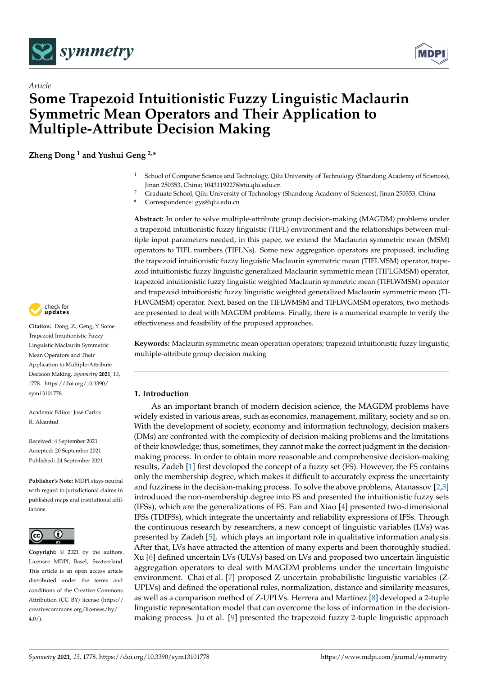



# *Article* **Some Trapezoid Intuitionistic Fuzzy Linguistic Maclaurin Symmetric Mean Operators and Their Application to Multiple-Attribute Decision Making**

**Zheng Dong <sup>1</sup> and Yushui Geng 2,\***

- <sup>1</sup> School of Computer Science and Technology, Qilu University of Technology (Shandong Academy of Sciences), Jinan 250353, China; 1043119227@stu.qlu.edu.cn
- <sup>2</sup> Graduate School, Qilu University of Technology (Shandong Academy of Sciences), Jinan 250353, China
- **\*** Correspondence: gys@qlu.edu.cn

**Abstract:** In order to solve multiple-attribute group decision-making (MAGDM) problems under a trapezoid intuitionistic fuzzy linguistic (TIFL) environment and the relationships between multiple input parameters needed, in this paper, we extend the Maclaurin symmetric mean (MSM) operators to TIFL numbers (TIFLNs). Some new aggregation operators are proposed, including the trapezoid intuitionistic fuzzy linguistic Maclaurin symmetric mean (TIFLMSM) operator, trapezoid intuitionistic fuzzy linguistic generalized Maclaurin symmetric mean (TIFLGMSM) operator, trapezoid intuitionistic fuzzy linguistic weighted Maclaurin symmetric mean (TIFLWMSM) operator and trapezoid intuitionistic fuzzy linguistic weighted generalized Maclaurin symmetric mean (TI-FLWGMSM) operator. Next, based on the TIFLWMSM and TIFLWGMSM operators, two methods are presented to deal with MAGDM problems. Finally, there is a numerical example to verify the effectiveness and feasibility of the proposed approaches.

**Keywords:** Maclaurin symmetric mean operation operators; trapezoid intuitionistic fuzzy linguistic; multiple-attribute group decision making

# **1. Introduction**

As an important branch of modern decision science, the MAGDM problems have widely existed in various areas, such as economics, management, military, society and so on. With the development of society, economy and information technology, decision makers (DMs) are confronted with the complexity of decision-making problems and the limitations of their knowledge; thus, sometimes, they cannot make the correct judgment in the decisionmaking process. In order to obtain more reasonable and comprehensive decision-making results, Zadeh [\[1\]](#page-21-0) first developed the concept of a fuzzy set (FS). However, the FS contains only the membership degree, which makes it difficult to accurately express the uncertainty and fuzziness in the decision-making process. To solve the above problems, Atanassov [\[2](#page-21-1)[,3\]](#page-21-2) introduced the non-membership degree into FS and presented the intuitionistic fuzzy sets (IFSs), which are the generalizations of FS. Fan and Xiao [\[4\]](#page-21-3) presented two-dimensional IFSs (TDIFSs), which integrate the uncertainty and reliability expressions of IFSs. Through the continuous research by researchers, a new concept of linguistic variables (LVs) was presented by Zadeh [\[5\]](#page-21-4), which plays an important role in qualitative information analysis. After that, LVs have attracted the attention of many experts and been thoroughly studied. Xu [\[6\]](#page-21-5) defined uncertain LVs (ULVs) based on LVs and proposed two uncertain linguistic aggregation operators to deal with MAGDM problems under the uncertain linguistic environment. Chai et al. [\[7\]](#page-21-6) proposed Z-uncertain probabilistic linguistic variables (Z-UPLVs) and defined the operational rules, normalization, distance and similarity measures, as well as a comparison method of Z-UPLVs. Herrera and Martínez [\[8\]](#page-21-7) developed a 2-tuple linguistic representation model that can overcome the loss of information in the decisionmaking process. Ju et al. [\[9\]](#page-21-8) presented the trapezoid fuzzy 2-tuple linguistic approach



**Citation:** Dong, Z.; Geng, Y. Some Trapezoid Intuitionistic Fuzzy Linguistic Maclaurin Symmetric Mean Operators and Their Application to Multiple-Attribute Decision Making. *Symmetry* **2021**, *13*, 1778. [https://doi.org/10.3390/](https://doi.org/10.3390/sym13101778) [sym13101778](https://doi.org/10.3390/sym13101778)

Academic Editor: José Carlos R. Alcantud

Received: 4 September 2021 Accepted: 20 September 2021 Published: 24 September 2021

**Publisher's Note:** MDPI stays neutral with regard to jurisdictional claims in published maps and institutional affiliations.



**Copyright:** © 2021 by the authors. Licensee MDPI, Basel, Switzerland. This article is an open access article distributed under the terms and conditions of the Creative Commons Attribution (CC BY) license (https:/[/](https://creativecommons.org/licenses/by/4.0/) [creativecommons.org/licenses/by/](https://creativecommons.org/licenses/by/4.0/)  $4.0/$ ).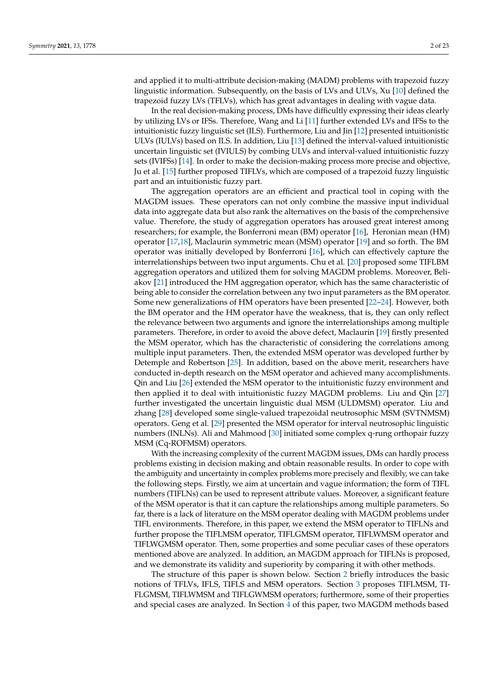and applied it to multi-attribute decision-making (MADM) problems with trapezoid fuzzy linguistic information. Subsequently, on the basis of LVs and ULVs, Xu [\[10\]](#page-21-9) defined the trapezoid fuzzy LVs (TFLVs), which has great advantages in dealing with vague data.

In the real decision-making process, DMs have difficultly expressing their ideas clearly by utilizing LVs or IFSs. Therefore, Wang and Li [\[11\]](#page-21-10) further extended LVs and IFSs to the intuitionistic fuzzy linguistic set (ILS). Furthermore, Liu and Jin [\[12\]](#page-21-11) presented intuitionistic ULVs (IULVs) based on ILS. In addition, Liu [\[13\]](#page-21-12) defined the interval-valued intuitionistic uncertain linguistic set (IVIULS) by combing ULVs and interval-valued intuitionistic fuzzy sets (IVIFSs) [\[14\]](#page-21-13). In order to make the decision-making process more precise and objective, Ju et al. [\[15\]](#page-21-14) further proposed TIFLVs, which are composed of a trapezoid fuzzy linguistic part and an intuitionistic fuzzy part.

The aggregation operators are an efficient and practical tool in coping with the MAGDM issues. These operators can not only combine the massive input individual data into aggregate data but also rank the alternatives on the basis of the comprehensive value. Therefore, the study of aggregation operators has aroused great interest among researchers; for example, the Bonferroni mean (BM) operator [\[16\]](#page-21-15), Heronian mean (HM) operator [\[17,](#page-22-0)[18\]](#page-22-1), Maclaurin symmetric mean (MSM) operator [\[19\]](#page-22-2) and so forth. The BM operator was initially developed by Bonferroni [\[16\]](#page-21-15), which can effectively capture the interrelationships between two input arguments. Chu et al. [\[20\]](#page-22-3) proposed some TIFLBM aggregation operators and utilized them for solving MAGDM problems. Moreover, Beliakov [\[21\]](#page-22-4) introduced the HM aggregation operator, which has the same characteristic of being able to consider the correlation between any two input parameters as the BM operator. Some new generalizations of HM operators have been presented [\[22](#page-22-5)[–24\]](#page-22-6). However, both the BM operator and the HM operator have the weakness, that is, they can only reflect the relevance between two arguments and ignore the interrelationships among multiple parameters. Therefore, in order to avoid the above defect, Maclaurin [\[19\]](#page-22-2) firstly presented the MSM operator, which has the characteristic of considering the correlations among multiple input parameters. Then, the extended MSM operator was developed further by Detemple and Robertson [\[25\]](#page-22-7). In addition, based on the above merit, researchers have conducted in-depth research on the MSM operator and achieved many accomplishments. Qin and Liu [\[26\]](#page-22-8) extended the MSM operator to the intuitionistic fuzzy environment and then applied it to deal with intuitionistic fuzzy MAGDM problems. Liu and Qin [\[27\]](#page-22-9) further investigated the uncertain linguistic dual MSM (ULDMSM) operator. Liu and zhang [\[28\]](#page-22-10) developed some single-valued trapezoidal neutrosophic MSM (SVTNMSM) operators. Geng et al. [\[29\]](#page-22-11) presented the MSM operator for interval neutrosophic linguistic numbers (INLNs). Ali and Mahmood [\[30\]](#page-22-12) initiated some complex q-rung orthopair fuzzy MSM (Cq-ROFMSM) operators.

With the increasing complexity of the current MAGDM issues, DMs can hardly process problems existing in decision making and obtain reasonable results. In order to cope with the ambiguity and uncertainty in complex problems more precisely and flexibly, we can take the following steps. Firstly, we aim at uncertain and vague information; the form of TIFL numbers (TIFLNs) can be used to represent attribute values. Moreover, a significant feature of the MSM operator is that it can capture the relationships among multiple parameters. So far, there is a lack of literature on the MSM operator dealing with MAGDM problems under TIFL environments. Therefore, in this paper, we extend the MSM operator to TIFLNs and further propose the TIFLMSM operator, TIFLGMSM operator, TIFLWMSM operator and TIFLWGMSM operator. Then, some properties and some peculiar cases of these operators mentioned above are analyzed. In addition, an MAGDM approach for TIFLNs is proposed, and we demonstrate its validity and superiority by comparing it with other methods.

The structure of this paper is shown below. Section [2](#page-2-0) briefly introduces the basic notions of TFLVs, IFLS, TIFLS and MSM operators. Section [3](#page-4-0) proposes TIFLMSM, TI-FLGMSM, TIFLWMSM and TIFLGWMSM operators; furthermore, some of their properties and special cases are analyzed. In Section [4](#page-13-0) of this paper, two MAGDM methods based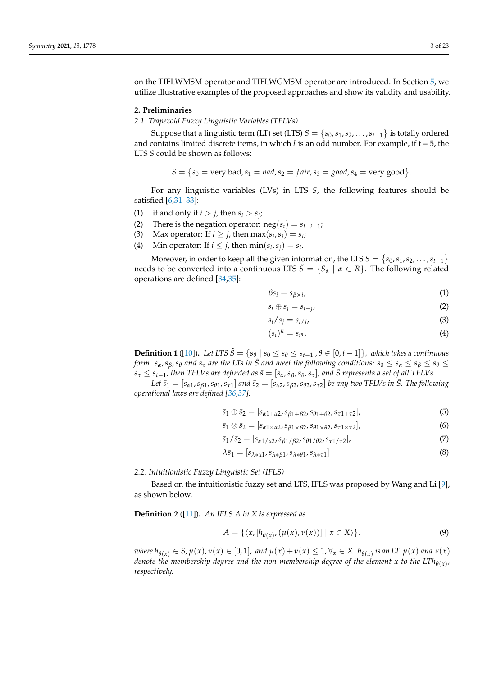on the TIFLWMSM operator and TIFLWGMSM operator are introduced. In Section [5,](#page-15-0) we utilize illustrative examples of the proposed approaches and show its validity and usability.

### <span id="page-2-0"></span>**2. Preliminaries**

*2.1. Trapezoid Fuzzy Linguistic Variables (TFLVs)*

Suppose that a linguistic term (LT) set (LTS)  $S = \big\{s_0, s_1, s_2, \ldots, s_{t-1}\big\}$  is totally ordered and contains limited discrete items, in which  $l$  is an odd number. For example, if  $t = 5$ , the LTS *S* could be shown as follows:

$$
S = \{s_0 = \text{very bad}, s_1 = \text{bad}, s_2 = \text{fair}, s_3 = \text{good}, s_4 = \text{very good}\}.
$$

For any linguistic variables (LVs) in LTS *S*, the following features should be satisfied [\[6,](#page-21-5)[31–](#page-22-13)[33\]](#page-22-14):

- (1) if and only if  $i > j$ , then  $s_i > s_j$ ;
- (2) There is the negation operator:  $neg(s_i) = s_{l-i-1}$ ;
- (3) Max operator: If  $i \geq j$ , then  $\max(s_i, s_j) = s_i$ ;
- (4) Min operator: If  $i \leq j$ , then  $\min(s_i, s_j) = s_i$ .

Moreover, in order to keep all the given information, the LTS  $S = \{s_0, s_1, s_2, \ldots, s_{t-1}\}$ needs to be converted into a continuous LTS  $\tilde{S} = \{S_\alpha \mid \alpha \in R\}$ . The following related operations are defined [\[34](#page-22-15)[,35\]](#page-22-16):

$$
\beta s_i = s_{\beta \times i},\tag{1}
$$

$$
s_i \oplus s_j = s_{i+j}, \tag{2}
$$

$$
s_i/s_j = s_{i/j} \tag{3}
$$

$$
(s_i)^n = s_{i^n}, \tag{4}
$$

**Definition 1** ([\[10\]](#page-21-9)). Let LTS  $\tilde{S} = \{s_{\theta} \mid s_0 \leq s_{\theta} \leq s_{t-1}, \theta \in [0, t-1]\}$ , which takes a continuous form.  $s_\alpha$ ,  $s_\beta$ ,  $s_\theta$  and  $s_\tau$  are the LTs in  $\tilde{S}$  and meet the following conditions:  $s_0 \le s_\alpha \le s_\beta \le s_\theta \le s$  $s_\tau \leq s_{t-1}$ , then TFLVs are definded as  $\bar{s}=[s_\alpha,s_\beta,s_\vartheta,s_\tau]$ , and  $\bar{S}$  represents a set of all TFLVs.

Let  $\bar{s}_1=[s_{\alpha 1},s_{\beta 1},s_{\theta 1},s_{\tau 1}]$  and  $\bar{s}_2=[s_{\alpha 2},s_{\beta 2},s_{\theta 2},s_{\tau 2}]$  be any two TFLVs in  $\bar{S}$ . The following *operational laws are defined [\[36,](#page-22-17)[37\]](#page-22-18):*

$$
\bar{s}_1 \oplus \bar{s}_2 = [s_{\alpha 1 + \alpha 2}, s_{\beta 1 + \beta 2}, s_{\theta 1 + \theta 2}, s_{\tau 1 + \tau 2}], \tag{5}
$$

$$
\bar{s}_1 \otimes \bar{s}_2 = [s_{\alpha 1 \times \alpha 2}, s_{\beta 1 \times \beta 2}, s_{\theta 1 \times \theta 2}, s_{\tau 1 \times \tau 2}], \qquad (6)
$$

$$
\bar{s}_1/\bar{s}_2 = [s_{\alpha 1/\alpha 2}, s_{\beta 1/\beta 2}, s_{\theta 1/\theta 2}, s_{\tau 1/\tau 2}], \qquad (7)
$$

$$
\lambda \bar{s}_1 = [s_{\lambda * \alpha 1}, s_{\lambda * \beta 1}, s_{\lambda * \theta 1}, s_{\lambda * \tau 1}] \tag{8}
$$

### *2.2. Intuitionistic Fuzzy Linguistic Set (IFLS)*

Based on the intuitionistic fuzzy set and LTS, IFLS was proposed by Wang and Li [\[9\]](#page-21-8), as shown below.

**Definition 2** ([\[11\]](#page-21-10))**.** *An IFLS A in X is expressed as*

$$
A = \{ \langle x, [h_{\theta(x)}, (\mu(x), \nu(x))] \mid x \in X \rangle \}.
$$
 (9)

where  $h_{\theta(x)} \in S$ ,  $\mu(x)$ ,  $\nu(x) \in [0,1]$ , and  $\mu(x) + \nu(x) \leq 1$ ,  $\forall_x \in X$ .  $h_{\theta(x)}$  is an LT.  $\mu(x)$  and  $\nu(x)$ denote the membership degree and the non-membership degree of the element  $x$  to the LTh $_{\theta(x)}$ , *respectively.*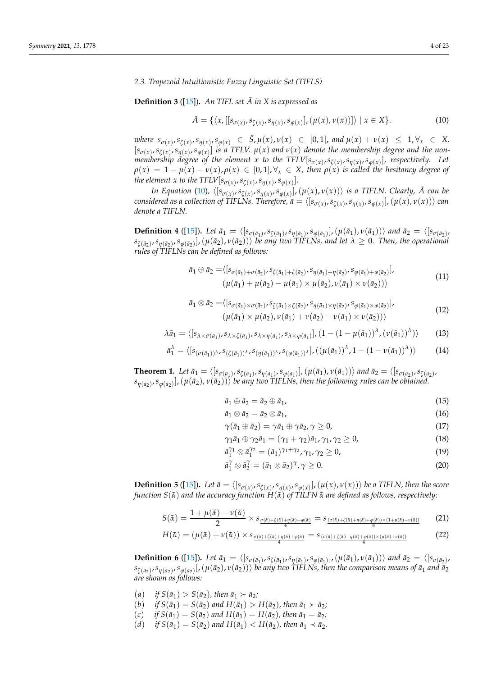### *2.3. Trapezoid Intuitionistic Fuzzy Linguistic Set (TIFLS)*

### **Definition 3** ([\[15\]](#page-21-14)). An TIFL set  $\overline{A}$  in X is expressed as

<span id="page-3-0"></span>
$$
\bar{A} = \{ \langle x, [[s_{\sigma(x)}, s_{\zeta(x)}, s_{\eta(x)}, s_{\varphi(x)}], (\mu(x), \nu(x))] \rangle \mid x \in X \}. \tag{10}
$$

where  $s_{\sigma(x)}, s_{\zeta(x)}, s_{\eta(x)}, s_{\varphi(x)} \in \bar{S}, \mu(x), \nu(x) \in [0,1]$ , and  $\mu(x) + \nu(x) \leq 1, \forall x \in X$ .  $[s_{\sigma(x)}, s_{\zeta(x)}, s_{\eta(x)}, s_{\varphi(x)}]$  is a TFLV.  $\mu(x)$  and  $\nu(x)$  denote the membership degree and the non*membership degree of the element x to the TFLV* $[s_{\sigma(x)}, s_{\zeta(x)}, s_{\eta(x)}, s_{\phi(x)}]$ *, respectively. Let*  $\rho(x) = 1 - \mu(x) - \nu(x), \rho(x) \in [0,1], \forall x \in X$ , then  $\rho(x)$  is called the hesitancy degree of *the element x to the TFLV*[ $s_{\sigma(x)}, s_{\zeta(x)}, s_{\eta(x)}, s_{\varphi(x)}$ ].

In Equation [\(10\)](#page-3-0),  $\langle [s_{\sigma(x)}, s_{\zeta(x)}, s_{\eta(x)}, s_{\varphi(x)}], (\mu(x), \nu(x)) \rangle$  is a TIFLN. Clearly,  $\bar{A}$  can be considered as a collection of TIFLNs. Therefore,  $\bar a=\langle [s_{\sigma(x)},s_{\zeta(x)},s_{\eta(x)},s_{\varphi(x)}],(\mu(x),\nu(x))\rangle$  can *denote a TIFLN.*

**Definition 4** ([\[15\]](#page-21-14)). Let  $\bar{a}_1 = \langle [s_{\sigma(\bar{a}_1)}, s_{\zeta(\bar{a}_1)}, s_{\eta(\bar{a}_1)}, s_{\phi(\bar{a}_1)}], (\mu(\bar{a}_1), \nu(\bar{a}_1)) \rangle$  and  $\bar{a}_2 = \langle [s_{\sigma(\bar{a}_2)}, s_{\zeta(\bar{a}_1)}, s_{\zeta(\bar{a}_1)}, s_{\zeta(\bar{a}_1)}, s_{\zeta(\bar{a}_1)}], (\mu(\bar{a}_1), \nu(\bar{a}_1)) \rangle$  $(s_{\zeta(\bar{a}_2)}, s_{\eta(\bar{a}_2)}, s_{\phi(\bar{a}_2)}]$ ,  $(\mu(\bar{a}_2), \nu(\bar{a}_2))$  *be any two TIFLNs, and let*  $\lambda \geq 0$ *. Then, the operational rules of TIFLNs can be defined as follows:*

$$
\bar{a}_1 \oplus \bar{a}_2 = \langle [s_{\sigma(\bar{a}_1) + \sigma(\bar{a}_2)}, s_{\zeta(\bar{a}_1) + \zeta(\bar{a}_2)}, s_{\eta(\bar{a}_1) + \eta(\bar{a}_2)}, s_{\varphi(\bar{a}_1) + \varphi(\bar{a}_2)}], \n(\mu(\bar{a}_1) + \mu(\bar{a}_2) - \mu(\bar{a}_1) \times \mu(\bar{a}_2), \nu(\bar{a}_1) \times \nu(\bar{a}_2))\rangle
$$
\n(11)

$$
\bar{a}_1 \otimes \bar{a}_2 = \langle [s_{\sigma(\bar{a}_1)} \times \sigma(\bar{a}_2) \cdot s_{\zeta(\bar{a}_1)} \times \sigma(\bar{a}_2) \cdot s_{\eta(\bar{a}_1)} \times \eta(\bar{a}_2) \cdot s_{\phi(\bar{a}_1)} \times \phi(\bar{a}_2)] \rangle
$$
  
\n
$$
(\mu(\bar{a}_1) \times \mu(\bar{a}_2), \nu(\bar{a}_1) + \nu(\bar{a}_2) - \nu(\bar{a}_1) \times \nu(\bar{a}_2)) \rangle
$$
\n(12)

$$
\lambda \bar{a}_1 = \langle [s_{\lambda \times \sigma(\bar{a}_1)}, s_{\lambda \times \zeta(\bar{a}_1)}, s_{\lambda \times \eta(\bar{a}_1)}, s_{\lambda \times \phi(\bar{a}_1)}], (1 - (1 - \mu(\bar{a}_1))^{\lambda}, (\nu(\bar{a}_1))^{\lambda}) \rangle \tag{13}
$$

$$
\bar{a}_1^{\lambda} = \langle [s_{(\sigma(\bar{a}_1))^{\lambda}} s_{(\zeta(\bar{a}_1))^{\lambda}} s_{(\eta(\bar{a}_1))^{\lambda}} s_{(\phi(\bar{a}_1))^{\lambda}}], ((\mu(\bar{a}_1))^{\lambda}, 1 - (1 - \nu(\bar{a}_1))^{\lambda}) \rangle \tag{14}
$$

**Theorem 1.** Let  $\bar{a}_1 = \langle [s_{\sigma(\bar{a}_1)}, s_{\zeta(\bar{a}_1)}, s_{\eta(\bar{a}_1)}, s_{\phi(\bar{a}_1)}], (\mu(\bar{a}_1), \nu(\bar{a}_1)) \rangle$  and  $\bar{a}_2 = \langle [s_{\sigma(\bar{a}_2)}, s_{\zeta(\bar{a}_2)}, s_{\zeta(\bar{a}_2)}],$  $(s_{\eta(\bar a_2)},s_{\varphi(\bar a_2)}]$ ,  $(\mu(\bar a_2),\nu(\bar a_2))$  *be any two TIFLNs, then the following rules can be obtained.* 

$$
\bar{a}_1 \oplus \bar{a}_2 = \bar{a}_2 \oplus \bar{a}_1, \tag{15}
$$

$$
\bar{a}_1 \otimes \bar{a}_2 = \bar{a}_2 \otimes \bar{a}_1, \tag{16}
$$

$$
\gamma(\bar{a}_1 \oplus \bar{a}_2) = \gamma \bar{a}_1 \oplus \gamma \bar{a}_2, \gamma \ge 0,
$$
\n(17)

$$
\gamma_1 \bar{a}_1 \oplus \gamma_2 \bar{a}_1 = (\gamma_1 + \gamma_2) \bar{a}_1, \gamma_1, \gamma_2 \ge 0,
$$
\n(18)

$$
\bar{a}_1^{\gamma_1} \otimes \bar{a}_1^{\gamma_2} = (\bar{a}_1)^{\gamma_1 + \gamma_2}, \gamma_1, \gamma_2 \ge 0,
$$
\n(19)

<span id="page-3-1"></span>
$$
\bar{a}_1^{\gamma} \otimes \bar{a}_2^{\gamma} = (\bar{a}_1 \otimes \bar{a}_2)^{\gamma}, \gamma \ge 0.
$$
 (20)

**Definition 5** ([\[15\]](#page-21-14)). Let  $\bar{a} = \langle [s_{\sigma(x)}, s_{\zeta(x)}, s_{\eta(x)}, s_{\varphi(x)}], (\mu(x), \nu(x)) \rangle$  be a TIFLN, then the score *function*  $S(\tilde{\alpha})$  *and the accuracy function*  $H(\tilde{\alpha})$  *of TILFN*  $\tilde{\alpha}$  *are defined as follows, respectively:* 

$$
S(\tilde{\alpha}) = \frac{1 + \mu(\tilde{\alpha}) - \nu(\tilde{\alpha})}{2} \times s_{\frac{\sigma(\tilde{\alpha}) + \zeta(\tilde{\alpha}) + \eta(\tilde{\alpha}) + \varphi(\tilde{\alpha})}{4}} = s_{\frac{(\sigma(\tilde{\alpha}) + \zeta(\tilde{\alpha}) + \eta(\tilde{\alpha}) + \varphi(\tilde{\alpha})) \times (1 + \mu(\tilde{\alpha}) - \nu(\tilde{\alpha}))}{8}} \tag{21}
$$

$$
H(\tilde{\alpha}) = (\mu(\tilde{\alpha}) + \nu(\tilde{\alpha})) \times s_{\frac{\sigma(\tilde{\alpha}) + \zeta(\tilde{\alpha}) + \eta(\tilde{\alpha}) + \varphi(\tilde{\alpha})}{4}} = s_{\frac{(\sigma(\tilde{\alpha}) + \zeta(\tilde{\alpha}) + \eta(\tilde{\alpha}) + \eta(\tilde{\alpha})) \times (\mu(\tilde{\alpha}) + \nu(\tilde{\alpha}))}{4}} \tag{22}
$$

**Definition 6** ([\[15\]](#page-21-14)). Let  $\bar{a}_1 = \langle [s_{\sigma(\bar{a}_1)}, s_{\zeta(\bar{a}_1)}, s_{\eta(\bar{a}_1)}, s_{\phi(\bar{a}_1)}], (\mu(\bar{a}_1), \nu(\bar{a}_1)) \rangle$  and  $\bar{a}_2 = \langle [s_{\sigma(\bar{a}_2)}, s_{\zeta(\bar{a}_1)}, s_{\zeta(\bar{a}_1)}, s_{\zeta(\bar{a}_1)}, s_{\zeta(\bar{a}_1)}], (\mu(\bar{a}_1), \nu(\bar{a}_1)) \rangle$  $(s_{\zeta(\bar{a}_2)},s_{\eta(\bar{a}_2)},s_{\phi(\bar{a}_2)}]$ ,  $(\mu(\bar{a}_2),\nu(\bar{a}_2))$  *be any two TIFLNs, then the comparison means of*  $\bar{a}_1$  *and*  $\bar{a}_2$ *are shown as follows:*

- $(a)$  *if*  $S(\bar{a}_1) > S(\bar{a}_2)$ *, then*  $\bar{a}_1 \succ \bar{a}_2$ *;*
- $(b)$  *if*  $S(\bar{a}_1) = S(\bar{a}_2)$  and  $H(\bar{a}_1) > H(\bar{a}_2)$ , then  $\bar{a}_1 > \bar{a}_2$ ;
- $(c)$  *if*  $S(\bar{a}_1) = S(\bar{a}_2)$  and  $H(\bar{a}_1) = H(\bar{a}_2)$ , then  $\bar{a}_1 = \bar{a}_2$ ;
- $(d)$  *if*  $S(\bar{a}_1) = S(\bar{a}_2)$  and  $H(\bar{a}_1) < H(\bar{a}_2)$ , then  $\bar{a}_1 \prec \bar{a}_2$ .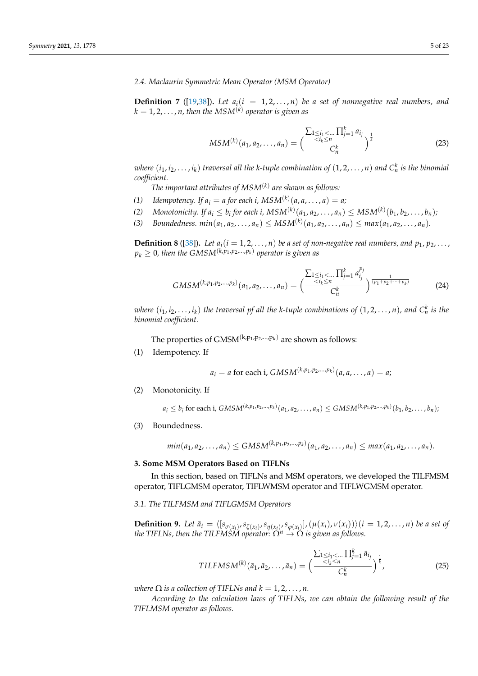*2.4. Maclaurin Symmetric Mean Operator (MSM Operator)*

**Definition 7** ([\[19,](#page-22-2)[38\]](#page-22-19)). Let  $a_i(i = 1, 2, ..., n)$  be a set of nonnegative real numbers, and  $k=1,2,\ldots,n$  , then the  $MSM^{(k)}$  operator is given as

$$
MSM^{(k)}(a_1, a_2, \dots, a_n) = \left(\frac{\sum_{1 \le i_1 < \dots \atop 1 \le i_k \le n} \prod_{j=1}^k a_{i_j}}{C_n^k}\right)^{\frac{1}{k}} \tag{23}
$$

 $i$  *where*  $(i_1, i_2, \ldots, i_k)$  traversal all the k-tuple combination of  $(1, 2, \ldots, n)$  and  $C_n^k$  is the binomial *coefficient.*

*The important attributes of MSM*(*k*) *are shown as follows:*

- *(1) Idempotency. If*  $a_i = a$  *for each i,*  $MSM^{(k)}(a, a, ..., a) = a;$
- (2) Monotonicity. If  $a_i \leq b_i$  for each i,  $MSM^{(k)}(a_1, a_2, \ldots, a_n) \leq MSM^{(k)}(b_1, b_2, \ldots, b_n)$
- *(3) Boundedness.*  $min(a_1, a_2, ..., a_n) \leq MSM^{(k)}(a_1, a_2, ..., a_n) \leq max(a_1, a_2, ..., a_n)$ .

**Definition 8** ([\[38\]](#page-22-19)). Let  $a_i$  ( $i = 1, 2, ..., n$ ) be a set of non-negative real numbers, and  $p_1, p_2, ...,$  $p_k \geq 0$ , then the GMSM $^{(k,p_1,p_2,...,p_k)}$  operator is given as

$$
GMSM^{(k,p_1,p_2,\ldots,p_k)}(a_1,a_2,\ldots,a_n) = \left(\frac{\sum_{1 \leq i_1 < \ldots \atop 1 \leq i_k \leq n} \prod_{j=1}^k a_{i_j}^{p_j}}{C_n^k}\right)^{\frac{1}{(p_1+p_2+\cdots+p_k)}}\tag{24}
$$

*where*  $(i_1, i_2, \ldots, i_k)$  the traversal pf all the k-tuple combinations of  $(1, 2, \ldots, n)$ , and  $C_n^k$  is the *binomial coefficient.*

The properties of GMSM $^{(k,p_1,p_2,...,p_k)}$  are shown as follows:

(1) Idempotency. If

$$
a_i = a
$$
 for each i,  $GMSM^{(k, p_1, p_2, ..., p_k)}(a, a, ..., a) = a$ ;

(2) Monotonicity. If

$$
a_i \leq b_i
$$
 for each i,  $GMSM^{(k,p_1,p_2,...,p_k)}(a_1,a_2,...,a_n) \leq GMSM^{(k,p_1,p_2,...,p_k)}(b_1,b_2,...,b_n)$ ;

(3) Boundedness.

$$
min(a_1, a_2,..., a_n) \leq GMSM^{(k, p_1, p_2,..., p_k)}(a_1, a_2,..., a_n) \leq max(a_1, a_2,..., a_n).
$$

### <span id="page-4-0"></span>**3. Some MSM Operators Based on TIFLNs**

In this section, based on TIFLNs and MSM operators, we developed the TILFMSM operator, TIFLGMSM operator, TIFLWMSM operator and TIFLWGMSM operator.

# *3.1. The TILFMSM and TIFLGMSM Operators*

**Definition 9.** Let  $\bar{a}_i = \langle [s_{\sigma(x_i)}, s_{\zeta(x_i)}, s_{\eta(x_i)}, s_{\varphi(x_i)}], (\mu(x_i), \nu(x_i)) \rangle (i = 1, 2, ..., n)$  be a set of *the TIFLNs, then the TILFMSM operator:*  $\tilde{\Omega}^n \to \tilde{\Omega}$  *is given as follows.* 

$$
TILFMSM^{(k)}(\bar{a}_1, \bar{a}_2, \dots, \bar{a}_n) = \left(\frac{\sum_{1 \le i_1 < \dots} \prod_{j=1}^k \bar{a}_{i_j}}{C_n^k}\right)^{\frac{1}{k}},\tag{25}
$$

*where*  $\Omega$  *is a collection of TIFLNs and*  $k = 1, 2, ..., n$ .

*According to the calculation laws of TIFLNs, we can obtain the following result of the TIFLMSM operator as follows.*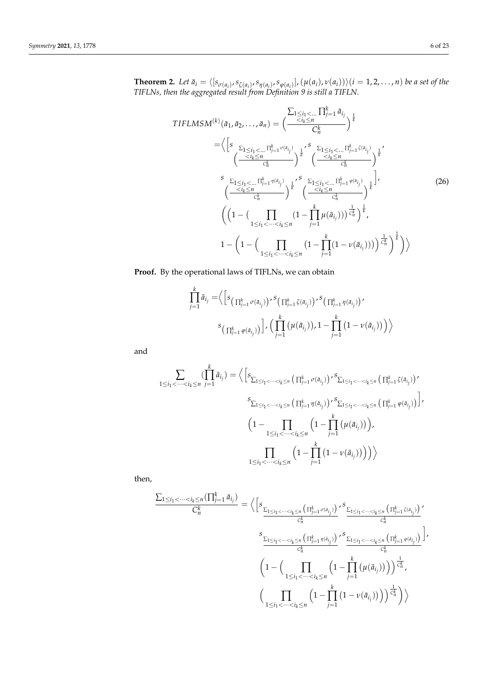<span id="page-5-0"></span>**Theorem 2.** Let  $\bar{a}_i = \langle [s_{\sigma(a_i)}, s_{\zeta(a_i)}, s_{\eta(a_i)}, s_{\varphi(a_i)}], (\mu(a_i), \nu(a_i)) \rangle (i = 1, 2, ..., n)$  be a set of the *TIFLNs, then the aggregated result from Definition 9 is still a TIFLN.*

$$
TIFLMSM^{(k)}(\bar{a}_{1}, \bar{a}_{2},..., \bar{a}_{n}) = \left(\frac{\sum_{i}1 \leq i_{1} < ... \prod_{j=1}^{k} \bar{a}_{i_{j}}}{C_{n}^{k}}\right)^{\frac{1}{k}}
$$
\n
$$
= \left\langle \left[s \frac{\sum_{1}1 \leq i_{1} < ... \prod_{j=1}^{k} \sigma(a_{i_{j}})}{\sum_{i_{j}}^{k}}\right]_{k}^{*} \left(\frac{\sum_{i}1 \leq i_{1} < ... \prod_{j=1}^{k} \zeta(a_{i_{j}})}{\sum_{i_{j}}^{k}}\right)^{\frac{1}{k}}^{*}
$$
\n
$$
\left(\frac{\sum_{i}1 \leq i_{1} < ... \prod_{j=1}^{k} \eta(a_{i_{j}})}{\sum_{i_{j}}^{k}}\right)^{\frac{1}{k}} \left(\frac{\sum_{i}1 \leq i_{1} < ... \prod_{j=1}^{k} \varphi(a_{i_{j}})}{\sum_{i_{j}}^{k}}\right)^{\frac{1}{k}},
$$
\n
$$
\left(\left(1 - \left(\prod_{1 \leq i_{1} < ... < i_{k} \leq n} \left(1 - \prod_{j=1}^{k} \mu(\bar{a}_{i_{j}})\right)\right)^{\frac{1}{C_{n}}}\right)^{\frac{1}{k}},
$$
\n
$$
1 - \left(1 - \left(\prod_{1 \leq i_{1} < ... < i_{k} \leq n} \left(1 - \prod_{j=1}^{k} \mu(\bar{a}_{i_{j}})\right)\right)^{\frac{1}{C_{n}}}\right)^{\frac{1}{k}}\right)\right\rangle
$$
\n
$$
(26)
$$

**Proof.** By the operational laws of TIFLNs, we can obtain

$$
\prod_{j=1}^{k} \bar{a}_{i_j} = \Big\langle \Big[ s_{\left(\prod_{j=1}^{k} \sigma(\bar{a}_{i_j})\right)}, s_{\left(\prod_{j=1}^{k} \zeta(\bar{a}_{i_j})\right)}, s_{\left(\prod_{j=1}^{k} \eta(\bar{a}_{i_j})\right)},
$$
\n
$$
s_{\left(\prod_{j=1}^{k} \varphi(\bar{a}_{i_j})\right)} \Big], \Big( \prod_{j=1}^{k} \left(\mu(\bar{a}_{i_j})\right), 1 - \prod_{j=1}^{k} \left(1 - \nu(\bar{a}_{i_j})\right) \Big\rangle
$$

and

$$
\sum_{1 \leq i_1 < \dots < i_k \leq n} \left( \prod_{j=1}^k \bar{a}_{i_j} \right) = \left\langle \left[ s_{\sum_{1 \leq i_1 < \dots < i_k \leq n}} \left( \prod_{j=1}^k \sigma(\bar{a}_{i_j}) \right) \right] \right\rangle^s \sum_{1 \leq i_1 < \dots < i_k \leq n} \left( \prod_{j=1}^k \zeta(\bar{a}_{i_j}) \right) \right\rangle^s
$$
\n
$$
\sum_{1 \leq i_1 < \dots < i_k \leq n} \left( \prod_{j=1}^k \eta(\bar{a}_{i_j}) \right) \left\langle \sum_{1 \leq i_1 < \dots < i_k \leq n} \left( \prod_{j=1}^k \left( \mu(\bar{a}_{i_j}) \right) \right) \right\rangle^s
$$
\n
$$
\left( 1 - \prod_{1 \leq i_1 < \dots < i_k \leq n} \left( 1 - \prod_{j=1}^k \left( \mu(\bar{a}_{i_j}) \right) \right) \right\rangle
$$
\n
$$
\prod_{1 \leq i_1 < \dots < i_k \leq n} \left( 1 - \prod_{j=1}^k \left( 1 - \nu(\bar{a}_{i_j}) \right) \right) \right\rangle
$$

then,

$$
\frac{\sum_{1 \le i_1 < \dots < i_k \le n} (\prod_{j=1}^k \bar{a}_{i_j})}{C_n^k} = \left\langle \left[ s_{\frac{\sum_{1 \le i_1 < \dots < i_k \le n} \left( \prod_{j=1}^k \sigma(a_{i_j}) \right)}{C_n^k}} , s_{\frac{\sum_{1 \le i_1 < \dots < i_k \le n} \left( \prod_{j=1}^k \sigma(a_{i_j}) \right)}{C_n^k}} \right] \right\rangle
$$
\n
$$
s_{\frac{\sum_{1 \le i_1 < \dots < i_k \le n} \left( \prod_{j=1}^k \eta(a_{i_j}) \right)}{C_n^k}} s_{\frac{\sum_{1 \le i_1 < \dots < i_k \le n} \left( \prod_{j=1}^k \phi(a_{i_j}) \right)}{C_n^k}} \right],
$$
\n
$$
\left( 1 - \left( \prod_{1 \le i_1 < \dots < i_k \le n} \left( 1 - \prod_{j=1}^k \left( \mu(\bar{a}_{i_j}) \right) \right) \right) \right) \frac{1}{C_n^k},
$$
\n
$$
\left( \prod_{1 \le i_1 < \dots < i_k \le n} \left( 1 - \prod_{j=1}^k \left( 1 - \nu(\bar{a}_{i_j}) \right) \right) \right) \frac{1}{C_n^k} \right\rangle
$$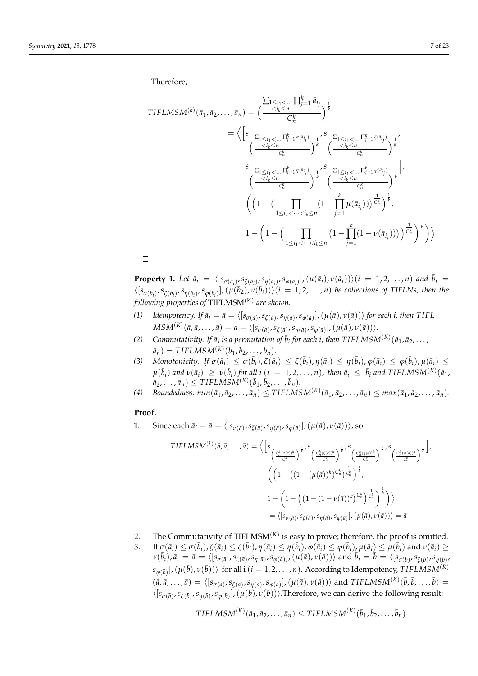Therefore,

$$
\begin{split}\n\text{TIFLMSM}^{(k)}(\bar{a}_{1}, \bar{a}_{2}, \dots, \bar{a}_{n}) &= \left( \frac{\sum_{1 \leq i_{1} < \dots} \prod_{j=1}^{k} \bar{a}_{i_{j}}}{C_{n}^{k}} \right)^{\frac{1}{k}} \\
&= \left\langle \left[ s \frac{\sum_{1 \leq i_{1} < \dots} \prod_{j=1}^{k} \sigma(a_{i_{j}})}{\sum_{j_{1}^{k}} s} \right]_{k}^{s} \left( \frac{\sum_{1 \leq i_{1} < \dots} \prod_{j=1}^{k} \zeta(a_{i_{j}})}{\sum_{j_{1}^{k}} s} \right)^{\frac{1}{k}} \\
& \left( \frac{\sum_{1 \leq i_{1} < \dots} \prod_{j=1}^{k} \eta(a_{i_{j}})}{\sum_{j_{1}^{k}} s} \right)^{\frac{1}{k}} \left( \frac{\sum_{1 \leq i_{1} < \dots} \prod_{j=1}^{k} \phi(a_{i_{j}})}{\sum_{j_{1}^{k}} s} \right)^{\frac{1}{k}} \\
& \left( \left( 1 - \left( \prod_{1 \leq i_{1} < \dots < i_{k} \leq n} \left( 1 - \prod_{j=1}^{k} \mu(\bar{a}_{i_{j}}) \right) \right)^{\frac{1}{C_{n}^{k}} s} \right)^{\frac{1}{k}} \\
& 1 - \left( 1 - \left( \prod_{1 \leq i_{1} < \dots < i_{k} \leq n} \left( 1 - \prod_{j=1}^{k} \mu(\bar{a}_{i_{j}}) \right) \right)^{\frac{1}{C_{n}^{k}} s} \right)^{\frac{1}{k}} \right\rangle\n\end{split}
$$

 $\Box$ 

<span id="page-6-0"></span>**Property 1.** Let  $\bar{a}_i = \langle [s_{\sigma(\bar{a}_i)}, s_{\zeta(\bar{a}_i)}, s_{\eta(\bar{a}_i)}, s_{\phi(\bar{a}_i)}], (\mu(\bar{a}_i), \nu(\bar{a}_i)) \rangle (i = 1, 2, ..., n)$  and  $\bar{b}_i =$  $\langle [s_{\sigma(\bar{b}_i)}, s_{\zeta(\bar{b}_i)}, s_{\eta(\bar{b}_i)}, s_{\phi(\bar{b}_i)}], (\mu(\bar{b}_2), \nu(\bar{b}_i))\rangle (i = 1, 2, ..., n)$  be collections of TIFLNs, then the *following properties of* TIFLMSM(K) *are shown.*

- (1) Idempotency. If  $\bar{a}_i = \bar{a} = \langle [s_{\sigma(\bar{a})}, s_{\zeta(\bar{a})}, s_{\eta(\bar{a})}, s_{\varphi(\bar{a})}], (\mu(\bar{a}), \nu(\bar{a})) \rangle$  for each i, then TIFL  $MSM^{(K)}(\bar a,\bar a,\dots,\bar a)=a=\langle[s_{\sigma(\bar a)},s_{\zeta(\bar a)},s_{\eta(\bar a)},s_{\varphi(\bar a)}],(\mu(\bar a),\nu(\bar a))\rangle.$
- *(2) Commutativity. If*  $\bar{a}_i$  *is a permutation of*  $\bar{b}_i$  *for each i, then*  $TIFLMSM^{(K)}(\bar{a}_1, \bar{a}_2, \ldots,$  $\bar{a}_n$ ) = *TIFLMSM*<sup>(K)</sup>( $\bar{b}_1$ ,  $\bar{b}_2$ , . . . ,  $\bar{b}_n$ ).
- (3) Monotonicity. If  $\sigma(\bar{a}_i) \leq \sigma(\bar{b}_i)$ ,  $\zeta(\bar{a}_i) \leq \zeta(\bar{b}_i)$ ,  $\eta(\bar{a}_i) \leq \eta(\bar{b}_i)$ ,  $\varphi(\bar{a}_i) \leq \varphi(\bar{b}_i)$ ,  $\mu(\bar{a}_i) \leq \zeta(\bar{b}_i)$  $\mu(\bar b_i)$  and  $\nu(\bar a_i)\ \geq\ \nu(\bar b_i)$  for all  $i\ (i\ =\ 1,2,\ldots,n)$ , then  $\bar a_i\ \leq\ \bar b_i$  and TIFLMSM $^{(K)}(\bar a_1,$  $\bar{a}_2, \ldots, \bar{a}_n) \leq TIFLMSM^{(K)}(\bar{b}_1, \bar{b}_2, \ldots, \bar{b}_n).$
- (4) Boundedness.  $min(\bar{a}_1, \bar{a}_2, \ldots, \bar{a}_n) \leq TIFLMSM^{(K)}(\bar{a}_1, \bar{a}_2, \ldots, \bar{a}_n) \leq max(\bar{a}_1, \bar{a}_2, \ldots, \bar{a}_n).$

# **Proof.**

1. Since each  $\bar{a}_i = \bar{a} = \langle [s_{\sigma(\bar{a})}, s_{\zeta(\bar{a})}, s_{\eta(\bar{a})}, s_{\varphi(\bar{a})}] \rangle, (\mu(\bar{a}), \nu(\bar{a})) \rangle$ , so

$$
TIFLMSM^{(k)}(\bar{a}, \bar{a}, \dots, \bar{a}) = \Big\langle \Big[ s \frac{c_{\bar{a}, (\sigma(a))^{k}}^{\kappa}}{c_{\bar{a}}^{k}} \Big)^{\frac{1}{k}} \Big\langle \frac{c_{\bar{a}, (\bar{c}(a))^{k}}^{\kappa}}{c_{\bar{a}}^{k}} \Big\rangle^{\frac{1}{k}} \Big\langle \frac{c_{\bar{a}, (\bar{c}(a))^{k}}^{\kappa}}{c_{\bar{a}}^{k}} \Big\rangle^{\frac{1}{k}} \Big\langle \frac{c_{\bar{a}, (\sigma(a))^{k}}^{\kappa}}{c_{\bar{a}}^{k}} \Big\rangle^{\frac{1}{k}} \Big\rangle^{\frac{1}{k}} \Big\langle \frac{c_{\bar{a}, (\sigma(a))^{k}}^{\kappa}}{c_{\bar{a}}^{k}} \Big\rangle^{\frac{1}{k}} \Big\rangle^{\frac{1}{k}} \Big\rangle^{\frac{1}{k}}
$$
\n
$$
1 - \Big( 1 - \Big( (1 - (1 - \nu(\bar{a}))^{k})^{C_{n}^{k}} \Big)^{\frac{1}{C_{n}^{k}}} \Big)^{\frac{1}{k}} \Big) \Big\rangle
$$
\n
$$
= \langle [s_{\sigma(\bar{a})}, s_{\zeta(\bar{a})}, s_{\eta(\bar{a})}, s_{\varphi(\bar{a})}], (\mu(\bar{a}), \nu(\bar{a})) \rangle = \bar{a}
$$

- 2. The Commutativity of TIFLMSM<sup> $(K)$ </sup> is easy to prove; therefore, the proof is omitted.
- 3. If  $\sigma(\bar{a}_i) \leq \sigma(\bar{b}_i)$ ,  $\zeta(\bar{a}_i) \leq \zeta(\bar{b}_i)$ ,  $\eta(\bar{a}_i) \leq \eta(\bar{b}_i)$ ,  $\varphi(\bar{a}_i) \leq \varphi(\bar{b}_i)$ ,  $\mu(\bar{a}_i) \leq \mu(\bar{b}_i)$  and  $\nu(\bar{a}_i) \geq$  $\nu(\bar{b}_i)$ ,  $\bar{a}_i = \bar{a} = \langle [s_{\sigma(\bar{a})}, s_{\zeta(\bar{a})}, s_{\eta(\bar{a})}, s_{\phi(\bar{a})}]$ ,  $(\mu(\bar{a}), \nu(\bar{a})) \rangle$  and  $\bar{b}_i = \bar{b} = \langle [s_{\sigma(\bar{b})}, s_{\zeta(\bar{b})}, s_{\eta(\bar{b})}] \rangle$  $(s_{\varphi(\bar{b})}]$ ,  $(\mu(\bar{b}), \nu(\bar{b}))$  for all i  $(i = 1, 2, \ldots, n)$ . According to Idempotency, *TIFLMSM<sup>(K)</sup>*  $(\bar{a}, \bar{a}, \ldots, \bar{a}) = \langle [s_{\sigma(\bar{a})}, s_{\zeta(\bar{a})}, s_{\eta(\bar{a})}, s_{\phi(\bar{a})}], (\mu(\bar{a}), \nu(\bar{a})) \rangle$  and TIFLMSM<sup>(K)</sup>( $\bar{b}, \bar{b}, \ldots, \bar{b}$ ) =  $\langle [s_{\sigma(\bar{b})}, s_{\zeta(\bar{b})}, s_{\eta(\bar{b})}, s_{\phi(\bar{b})}] \rangle$ ,  $(\mu(\bar{b}), \nu(\bar{b}))$ ). Therefore, we can derive the following result:

$$
TIFLMSM(K)(\bar{a}_1, \bar{a}_2, \ldots, \bar{a}_n) \leq TIFLMSM(K)(\bar{b}_1, \bar{b}_2, \ldots, \bar{b}_n)
$$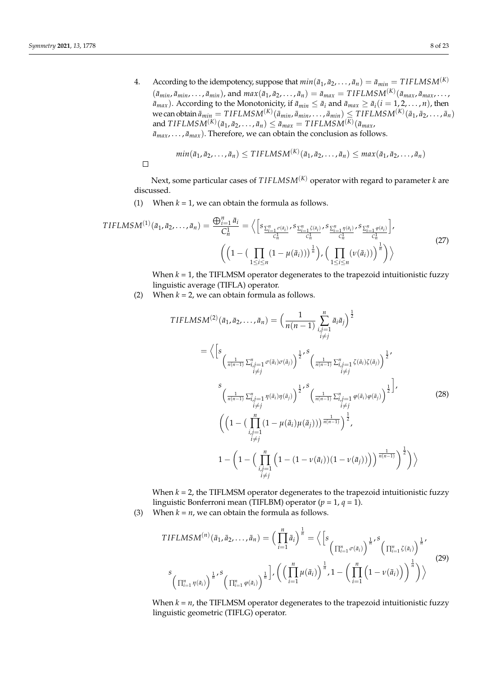4. According to the idempotency, suppose that  $min(\bar{a}_1, \bar{a}_2, ..., \bar{a}_n) = \bar{a}_{min} = TIFLMSM^{(K)}$  $(\bar{a}_{min}, \bar{a}_{min}, \ldots, \bar{a}_{min})$ , and  $max(\bar{a}_1, \bar{a}_2, \ldots, \bar{a}_n) = \bar{a}_{max} = TIFLMSM^{(K)}(\bar{a}_{max}, \bar{a}_{max}, \ldots, \bar{a}_{max})$  $\bar{a}_{max}$ ). According to the Monotonicity, if  $\bar{a}_{min} \leq \bar{a}_i$  and  $\bar{a}_{max} \geq \bar{a}_i (i = 1, 2, ..., n)$ , then  $\mathbf{w}$ e can obtain  $\bar{a}_{min} = TIFLMSM^{(K)}(\bar{a}_{min}, \bar{a}_{min}, \ldots, \bar{a}_{min}) \leq TIFLMSM^{(K)}(\bar{a}_1, \bar{a}_2, \ldots, \bar{a}_n)$ and  $TIFLMSM^{(K)}(\bar{a}_1, \bar{a}_2, \ldots, \bar{a}_n) \leq \bar{a}_{max} = TIFLMSM^{(K)}(\bar{a}_{max}, \bar{a}_{max})$  $\bar{a}_{max}, \ldots, \bar{a}_{max}$ ). Therefore, we can obtain the conclusion as follows.

$$
min(\bar{a}_1, \bar{a}_2, \ldots, \bar{a}_n) \leq TIFLMSM^{(K)}(\bar{a}_1, \bar{a}_2, \ldots, \bar{a}_n) \leq max(\bar{a}_1, \bar{a}_2, \ldots, \bar{a}_n)
$$

 $\Box$ 

Next, some particular cases of 
$$
TIFLMSM^{(K)}
$$
 operator with regard to parameter  $k$  are discussed.

(1) When  $k = 1$ , we can obtain the formula as follows.

$$
TIFLMSM^{(1)}(\bar{a}_{1}, \bar{a}_{2},..., \bar{a}_{n}) = \frac{\bigoplus_{i=1}^{n} \bar{a}_{i}}{C_{n}^{1}} = \Big\langle \Big[ s_{\frac{\sum_{i=1}^{n} \sigma(\bar{a}_{i})}{C_{n}^{1}}}, s_{\frac{\sum_{i=1}^{n} \zeta(\bar{a}_{i})}{C_{n}^{1}}}, s_{\frac{\sum_{i=1}^{n} \eta(\bar{a}_{i})}{C_{n}^{1}}}, s_{\frac{\sum_{i=1}^{n} \varphi(\bar{a}_{i})}{C_{n}^{1}}} \Big],
$$
\n
$$
\Big( \Big( 1 - \big( \prod_{1 \leq i \leq n} (1 - \mu(\bar{a}_{i})) \big)^{\frac{1}{n}} \Big), \Big( \prod_{1 \leq i \leq n} (\nu(\bar{a}_{i})) \Big)^{\frac{1}{n}} \Big) \Big\rangle
$$
\n
$$
(27)
$$

When *k* = 1, the TIFLMSM operator degenerates to the trapezoid intuitionistic fuzzy linguistic average (TIFLA) operator.

(2) When  $k = 2$ , we can obtain formula as follows.

$$
TIFLMSM^{(2)}(\bar{a}_{1}, \bar{a}_{2},..., \bar{a}_{n}) = \left(\frac{1}{n(n-1)} \sum_{\substack{i,j=1 \ i \neq j}}^{n} \bar{a}_{i} \bar{a}_{j}\right)^{\frac{1}{2}}
$$
  
\n
$$
= \left\langle \left[s \frac{1}{\left(\frac{1}{n(n-1)} \sum_{\substack{i,j=1 \ i \neq j}}^{n} \sigma(\bar{a}_{i}) \sigma(\bar{a}_{j})\right)^{\frac{1}{2}}, s} \left(\frac{1}{\frac{1}{n(n-1)} \sum_{\substack{i,j=1 \ i \neq j}}^{n} \zeta(\bar{a}_{i}) \zeta(\bar{a}_{j})}\right)^{\frac{1}{2}}, s \right\rangle
$$
  
\n
$$
\left(\frac{1}{n(n-1)} \sum_{\substack{i,j=1 \ i \neq j}}^{n} \eta(\bar{a}_{i}) \eta(\bar{a}_{j})\right)^{\frac{1}{2}}, s} \left(\frac{1}{\frac{1}{n(n-1)} \sum_{\substack{i,j=1 \ i \neq j}}^{n} \varphi(\bar{a}_{i}) \varphi(\bar{a}_{j})}\right)^{\frac{1}{2}}\right],
$$
  
\n
$$
\left(\left(1 - \left(\prod_{\substack{i,j=1 \ i \neq j}}^{n} \left(1 - \mu(\bar{a}_{i}) \mu(\bar{a}_{j})\right)\right)^{\frac{1}{n(n-1)}}\right)^{\frac{1}{2}}, s \right)
$$
  
\n
$$
1 - \left(1 - \left(\prod_{\substack{i,j=1 \ i \neq j}}^{n} \left(1 - \left(1 - \nu(\bar{a}_{i})\right)\left(1 - \nu(\bar{a}_{j})\right)\right)\right)^{\frac{1}{n(n-1)}}\right)^{\frac{1}{2}}\right)\right\rangle
$$
  
\n(28)

When *k* = 2, the TIFLMSM operator degenerates to the trapezoid intuitionistic fuzzy linguistic Bonferroni mean (TIFLBM) operator (*p* = 1, *q* = 1).

(3) When  $k = n$ , we can obtain the formula as follows.

$$
TIFLMSM^{(n)}(\bar{a}_{1}, \bar{a}_{2},..., \bar{a}_{n}) = \left(\prod_{i=1}^{n} \bar{a}_{i}\right)^{\frac{1}{n}} = \left\langle \left[s_{\left(\prod_{i=1}^{n} \sigma(\bar{a}_{i})\right)^{\frac{1}{n}}}, s_{\left(\prod_{i=1}^{n} \zeta(\bar{a}_{i})\right)^{\frac{1}{n}}}\right] \right\rangle^{1/5}
$$
\n
$$
s_{\left(\prod_{i=1}^{n} \eta(\bar{a}_{i})\right)^{\frac{1}{n}}}, s_{\left(\prod_{i=1}^{n} \varphi(\bar{a}_{i})\right)^{\frac{1}{n}}}, 1 - \left(\prod_{i=1}^{n} \left(1 - \nu(\bar{a}_{i})\right)\right)^{\frac{1}{n}}\right)\right\rangle^{1/5}
$$
\n
$$
(29)
$$

When  $k = n$ , the TIFLMSM operator degenerates to the trapezoid intuitionistic fuzzy linguistic geometric (TIFLG) operator.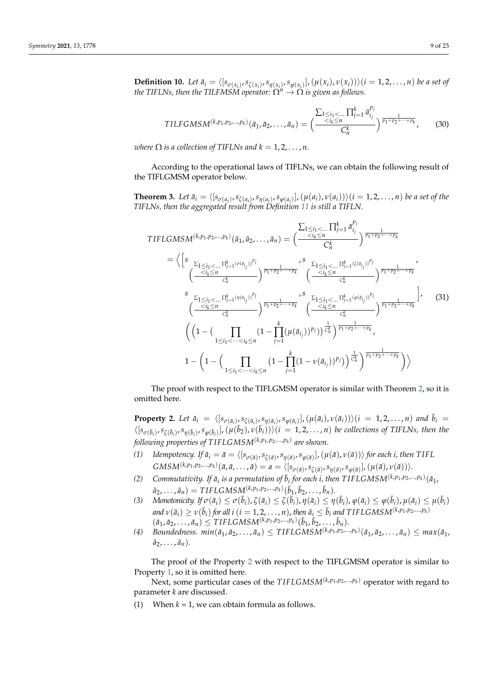**Definition 10.** Let  $\bar{a}_i = \langle [s_{\sigma(x_i)}, s_{\zeta(x_i)}, s_{\eta(x_i)}, s_{\varphi(x_i)}], (\mu(x_i), \nu(x_i)) \rangle (i = 1, 2, ..., n)$  be a set of *the TIFLNs, then the TILFMSM operator:*  $\hat{\Omega^n} \rightarrow \hat{\Omega}$  *is given as follows.* 

$$
TILFGMSM^{(k,p_1,p_2,...,p_k)}(\bar{a}_1,\bar{a}_2,...,\bar{a}_n) = \left(\frac{\sum_{1 \leq i_1 < ...} \prod_{j=1}^k \bar{a}_{i_j}^{p_j}}{C_n^k}\right)^{\frac{1}{p_1+p_2+\cdots+p_k}},\tag{30}
$$

*where*  $\Omega$  *is a collection of TIFLNs and*  $k = 1, 2, ..., n$ .

According to the operational laws of TIFLNs, we can obtain the following result of the TIFLGMSM operator below.

**Theorem 3.** Let  $\bar{a}_i = \langle [s_{\sigma(a_i)}, s_{\zeta(a_i)}, s_{\eta(a_i)}, s_{\varphi(a_i)}], (\mu(a_i), \nu(a_i)) \rangle (i = 1, 2, ..., n)$  be a set of the *TIFLNs, then the aggregated result from Definition [11](#page-9-0) is still a TIFLN.*

$$
TIFLGMSM^{(k,p_1,p_2,...,p_k)}(\bar{a}_1, \bar{a}_2, ..., \bar{a}_n) = \left(\frac{\sum_{1 \le i_1 < ...} \prod_{j=1}^k \bar{a}_{i_j}^{p_j}}{C_n^k}\right)^{\frac{1}{p_1 + p_2 + ... + p_k}}
$$
\n
$$
= \left\langle \left[s \frac{\sum_{1 \le i_1 < ...} \prod_{j=1}^k (\sigma(a_{i_j}))^{p_j}}{C_n^k}\right)^{\frac{1}{p_1 + p_2 + ... + p_k}}, \frac{\sum_{1 \le i_1 < ...} \prod_{j=1}^k (\zeta(a_{i_j}))^{p_j}}{C_n^k}\right)^{\frac{1}{p_1 + p_2 + ... + p_k}}
$$
\n
$$
\left(\frac{\sum_{i_k \le n} \prod_{j=1}^k (\sigma(a_{i_j}))^{p_j}}{C_n^k}\right)^{\frac{1}{p_1 + p_2 + ... + p_k}}
$$
\n
$$
\left(\frac{\sum_{i_k \le n} \prod_{j=1}^k (\sigma(a_{i_j}))^{p_j}}{C_n^k}\right)^{\frac{1}{p_1 + p_2 + ... + p_k}}
$$
\n
$$
\left(\frac{\sum_{i_k \le n} \prod_{j=1}^k (\sigma(a_{i_j}))^{p_j}}{C_n^k}\right)^{\frac{1}{p_1 + p_2 + ... + p_k}}
$$
\n
$$
\left(\left(1 - \left(\prod_{1 \le i_1 < ... < i_k \le n} \left(1 - \prod_{j=1}^k (\mu(\bar{a}_{i_j}))^{p_j}\right)^{\frac{1}{C_n}}\right)^{\frac{1}{p_1 + p_2 + ... + p_k}}
$$
\n
$$
1 - \left(1 - \left(\prod_{1 \le i_1 < ... < i_k \le n} \left(1 - \prod_{j=1}^k (1 - \nu(\bar{a}_{i_j}))^{p_j}\right)^{\frac{1}{C_n}}\right)^{\frac{1}{p_1 + p_2 + ... + p_k}}\right)\right\rangle
$$
\n(31)

The proof with respect to the TIFLGMSM operator is similar with Theorem [2,](#page-5-0) so it is omitted here.

<span id="page-8-0"></span>**Property 2.** Let  $\bar{a}_i = \langle [s_{\sigma(\bar{a}_i)}, s_{\zeta(\bar{a}_i)}, s_{\eta(\bar{a}_i)}, s_{\phi(\bar{a}_i)}], (\mu(\bar{a}_i), \nu(\bar{a}_i)) \rangle (i = 1, 2, ..., n)$  and  $\bar{b}_i =$  $\langle [s_{\sigma(\bar{b}_i)}, s_{\zeta(\bar{b}_i)}, s_{\eta(\bar{b}_i)}, s_{\phi(\bar{b}_i)}], (\mu(\bar{b}_2), \nu(\bar{b}_i))\rangle (i=1,2,\ldots,n)$  be collections of TIFLNs, then the *following properties of T IFLGMSM*(*k*,*p*<sup>1</sup> ,*p*2,...,*p<sup>k</sup>* ) *are shown.*

- (1) Idempotency. If  $\bar{a}_i = \bar{a} = \langle [s_{\sigma(\bar{a})}, s_{\zeta(\bar{a})}, s_{\eta(\bar{a})}, s_{\varphi(\bar{a})}], (\mu(\bar{a}), \nu(\bar{a})) \rangle$  for each i, then TIFL  $GMSM^{(k,p_1,p_2,...,p_k)}(\bar{a},\bar{a},\ldots,\bar{a})=a=\langle [s_{\sigma(\bar{a})},s_{\zeta(\bar{a})},s_{\eta(\bar{a})},s_{\varphi(\bar{a})}],(\mu(\bar{a}),\nu(\bar{a}))\rangle.$
- *(2) Commutativity. If*  $\bar{a}_i$  *is a permutation of*  $\bar{b}_i$  *for each i, then TIFLGMSM*<sup>(*k,p*<sub>1</sub>*,p*<sub>2</sub>,...,*p*<sub>*k*</sub>)</sup>( $\bar{a}_1$ *,*  $\bar{a}_2, \ldots, \bar{a}_n$ ) =  $TIFLGMSM^{(k,p_1,p_2,\ldots,p_k)}(\bar{b}_1, \bar{b}_2, \ldots, \bar{b}_n)$ .
- (3) Monotonicity. If  $\sigma(\bar{a}_i) \leq \sigma(\bar{b}_i)$ ,  $\zeta(\bar{a}_i) \leq \zeta(\bar{b}_i)$ ,  $\eta(\bar{a}_i) \leq \eta(\bar{b}_i)$ ,  $\varphi(\bar{a}_i) \leq \varphi(\bar{b}_i)$ ,  $\mu(\bar{a}_i) \leq \mu(\bar{b}_i)$ and  $v(\bar{a}_i)\geq v(\bar{b}_i)$  for all  $i$   $(i=1,2,\ldots,n)$ , then  $\bar{a}_i\leq \bar{b}_i$  and TIFLGMSM $^{(k,p_1,p_2,...,p_k)}$  $(\bar{a}_1, \bar{a}_2, \ldots, \bar{a}_n) \leq \text{TIFLGMSM}^{(k, p_1, p_2, \ldots, p_k)}(\bar{b}_1, \bar{b}_2, \ldots, \bar{b}_n).$
- (4) Boundedness.  $min(\bar{a}_1, \bar{a}_2, \ldots, \bar{a}_n) \leq TIFLGMSM^{(k, p_1, p_2, \ldots, p_k)}(\bar{a}_1, \bar{a}_2, \ldots, \bar{a}_n) \leq max(\bar{a}_1,$  $\bar{a}_2, \ldots, \bar{a}_n$ ).

The proof of the Property [2](#page-8-0) with respect to the TIFLGMSM operator is similar to Property [1,](#page-6-0) so it is omitted here.

Next, some particular cases of the *TIFLGMSM*<sup>(k,p<sub>1</sub>,p<sub>2</sub>,...,p<sub>k</sub>)</sup> operator with regard to parameter *k* are discussed.

(1) When  $k = 1$ , we can obtain formula as follows.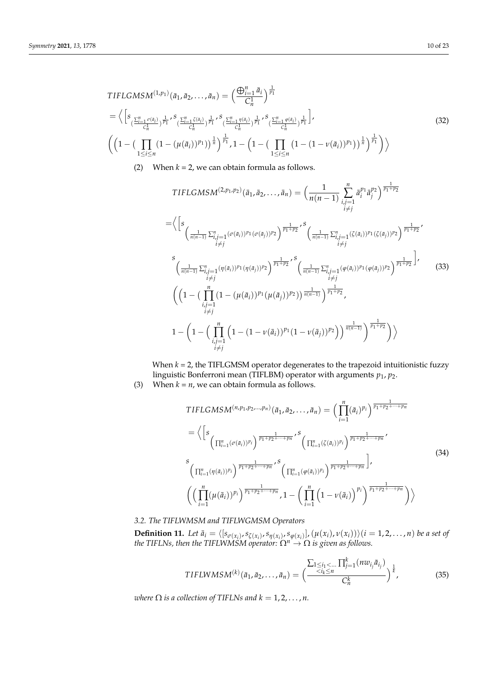$$
\begin{split}\n\text{TIFLGMSM}^{(1,p_{1})}(\bar{a}_{1}, \bar{a}_{2}, \dots, \bar{a}_{n}) &= \left(\frac{\bigoplus_{i=1}^{n} \bar{a}_{i}}{C_{n}^{1}}\right)^{\frac{1}{p_{1}}} \\
&= \left\langle \left[s_{\frac{\sum_{i=1}^{n} \sigma(\bar{a}_{i})}{C_{n}^{1}}}\right)^{\frac{1}{p_{1}}}, s_{\left(\frac{\sum_{i=1}^{n} \zeta(\bar{a}_{i})}{C_{n}^{1}}\right)^{\frac{1}{p_{1}}}}, s_{\left(\frac{\sum_{i=1}^{n} \eta(\bar{a}_{i})}{C_{n}^{1}}\right)^{\frac{1}{p_{1}}}}, s_{\left(\frac{\sum_{i=1}^{n} \varphi(\bar{a}_{i})}{C_{n}^{1}}\right)^{\frac{1}{p_{1}}}}\right], \\
&\left(\left(1 - \left(\prod_{1 \leq i \leq n} \left(1 - \left(\mu(\bar{a}_{i})\right)^{p_{1}}\right)\right)^{\frac{1}{n}}\right)^{\frac{1}{p_{1}}}, 1 - \left(1 - \left(\prod_{1 \leq i \leq n} \left(1 - \left(1 - \nu(\bar{a}_{i})\right)^{p_{1}}\right)\right)^{\frac{1}{n}}\right)^{\frac{1}{p_{1}}}\right)\right\rangle\n\end{split} \tag{32}
$$

(2) When  $k = 2$ , we can obtain formula as follows.

$$
\text{TIFLGMSM}^{(2,p_1,p_2)}(\bar{a}_1, \bar{a}_2, \dots, \bar{a}_n) = \left(\frac{1}{n(n-1)} \sum_{\substack{i,j=1 \ i \neq j}}^n \bar{a}_i^{p_1} \bar{a}_j^{p_2}\right)^{\frac{1}{p_1+p_2}}
$$
\n
$$
= \left\langle \left[s \frac{1}{\left(\frac{1}{n(n-1)} \sum_{\substack{i,j=1 \ i \neq j}}^n (\sigma(\bar{a}_i))^{p_1} (\sigma(\bar{a}_j))^{p_2}\right)^{\frac{1}{p_1+p_2}}, s} \frac{1}{\left(\frac{1}{n(n-1)} \sum_{\substack{i,j=1 \ i \neq j}}^n (\zeta(\bar{a}_i))^{p_1} (\zeta(\bar{a}_j))^{p_2}\right)^{\frac{1}{p_1+p_2}}, i \neq j} \right\rangle
$$
\n
$$
\left(\frac{1}{n(n-1)} \sum_{\substack{i,j=1 \ i \neq j}}^n (\eta(\bar{a}_i))^{p_1} (\eta(\bar{a}_j))^{p_2}\right)^{\frac{1}{p_1+p_2}}, s} \left(\frac{1}{\frac{1}{n(n-1)} \sum_{\substack{i,j=1 \ i \neq j}}^n (\varphi(\bar{a}_i))^{p_1} (\varphi(\bar{a}_j))^{p_2}\right)^{\frac{1}{p_1+p_2}}}\right),
$$
\n
$$
\left(\left(1 - \left(\prod_{\substack{i,j=1 \ i \neq j}}^n (1 - (\mu(\bar{a}_i))^{p_1} (\mu(\bar{a}_j))^{p_2})\right)^{\frac{1}{n(n-1)}}\right)^{\frac{1}{p_1+p_2}}, s \right\}
$$
\n
$$
1 - \left(1 - \left(\prod_{\substack{i,j=1 \ i \neq j}}^n (1 - (1 - \nu(\bar{a}_i))^{p_1} (1 - \nu(\bar{a}_j))^{p_2}\right)\right)^{\frac{1}{n(n-1)}}\right)^{\frac{1}{p_1+p_2}}\right)\right\rangle
$$
\n(33)

When  $k = 2$ , the TIFLGMSM operator degenerates to the trapezoid intuitionistic fuzzy linguistic Bonferroni mean (TIFLBM) operator with arguments *p*1, *p*2.

(3) When  $k = n$ , we can obtain formula as follows.

$$
\text{TIFLCMSM}^{(n,p_1,p_2,\ldots,p_n)}(\bar{a}_1,\bar{a}_2,\ldots,\bar{a}_n) = \left(\prod_{i=1}^n (\bar{a}_i)^{p_i}\right)^{\frac{1}{p_1+p_2+\cdots+p_n}}
$$
\n
$$
= \left\langle \left[s_{\left(\prod_{i=1}^n (\sigma(\bar{a}_i))^{p_i}\right)^{\frac{1}{p_1+p_2+\cdots+p_n}}},s_{\left(\prod_{i=1}^n (\zeta(\bar{a}_i))^{p_i}\right)^{\frac{1}{p_1+p_2+\cdots+p_n}}}\right\rangle
$$
\n
$$
\left(\prod_{i=1}^n (\eta(\bar{a}_i))^{p_i}\right)^{\frac{1}{p_1+p_2+\cdots+p_n}},s_{\left(\prod_{i=1}^n (\varphi(\bar{a}_i))^{p_i}\right)^{\frac{1}{p_1+p_2+\cdots+p_n}}}\right\rangle,
$$
\n
$$
\left(\left(\prod_{i=1}^n (\mu(\bar{a}_i))^{p_i}\right)^{\frac{1}{p_1+p_2+\cdots+p_n}},1-\left(\prod_{i=1}^n \left(1-\nu(\bar{a}_i)\right)^{p_i}\right)^{\frac{1}{p_1+p_2+\cdots+p_n}}\right)\right\rangle
$$
\n
$$
\left(\left(\prod_{i=1}^n (\mu(\bar{a}_i))^{p_i}\right)^{\frac{1}{p_1+p_2+\cdots+p_n}},1-\left(\prod_{i=1}^n \left(1-\nu(\bar{a}_i)\right)^{p_i}\right)^{\frac{1}{p_1+p_2+\cdots+p_n}}\right)\right\rangle
$$
\n(34)

*3.2. The TIFLWMSM and TIFLWGMSM Operators*

<span id="page-9-0"></span>**Definition 11.** Let  $\bar{a}_i = \langle [s_{\sigma(x_i)}, s_{\zeta(x_i)}, s_{\eta(x_i)}, s_{\varphi(x_i)}], (\mu(x_i), \nu(x_i)) \rangle (i = 1, 2, ..., n)$  be a set of *the TIFLNs, then the TIFLWMSM operator:*  $\Omega^n\rightarrow\Omega$  *is given as follows.* 

$$
TIFLWMSM^{(k)}(\bar{a}_1, \bar{a}_2, \dots, \bar{a}_n) = \left(\frac{\sum_{1 \le i_1 < \dots} \prod_{j=1}^k (nw_{i_j} \bar{a}_{i_j})}{C_n^k}\right)^{\frac{1}{k}},\tag{35}
$$

*where*  $\Omega$  *is a collection of TIFLNs and*  $k = 1, 2, ..., n$ .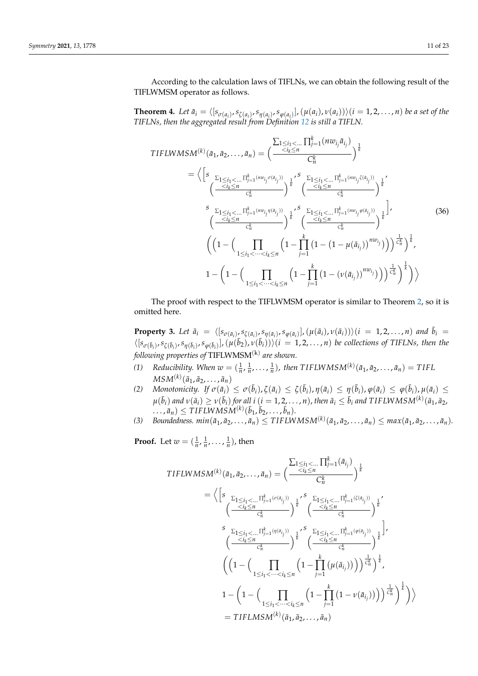According to the calculation laws of TIFLNs, we can obtain the following result of the TIFLWMSM operator as follows.

**Theorem 4.** Let  $\bar{a}_i = \langle [s_{\sigma(a_i)}, s_{\zeta(a_i)}, s_{\eta(a_i)}, s_{\varphi(a_i)}], (\mu(a_i), \nu(a_i)) \rangle (i = 1, 2, ..., n)$  be a set of the *TIFLNs, then the aggregated result from Definition [12](#page-11-0) is still a TIFLN.*

TIFLWMSM<sup>(k)</sup> (
$$
\bar{a}_1, \bar{a}_2, ..., \bar{a}_n
$$
) =  $\left(\frac{\sum_{1 \le i_1 < ...} \prod_{j=1}^k (nw_{i_j} \bar{a}_{i_j})}{C_n^k}\right)^{\frac{1}{k}}$   
\n=  $\left\langle \left[s \sum_{\substack{\sum_{1 \le i_1 < ... \sum_{j=1}^k (nw_{i_j} \sigma(a_{i_j})) \\ C_n^k}} \sum_{1 \le i_1 < ... \sum_{j=1}^k (nw_{i_j} \sigma(a_{i_j}))}} \right]^{\frac{1}{k}} \left(\frac{\sum_{i_1 \le i_1 < ...} \prod_{j=1}^k (nw_{i_j} \bar{c}_{i_{i_j}})}{C_n^k}\right)^{\frac{1}{k}}}{C_n^k}\right)^{\frac{1}{k}}$   
\n $\left(\frac{\sum_{1 \le i_1 < ...} \prod_{j=1}^k (nw_{i_j} \eta(a_{i_j}))}{C_n^k}\right)^{\frac{1}{k}} \left(\frac{\sum_{1 \le i_1 < ...} \prod_{j=1}^k (nw_{i_j} \phi(a_{i_j}))}{C_n^k}\right)^{\frac{1}{k}}}$  (36)  
\n $\left(\left(1 - \left(\prod_{1 \le i_1 < ... < i_k \le n} \left(1 - \prod_{j=1}^k \left(1 - \left(1 - \mu(\bar{a}_{i_j})\right)^{nw_{i_j}}\right)\right)\right)^{\frac{1}{C_n}}\right)^{\frac{1}{k}}$   
\n $1 - \left(1 - \left(\prod_{1 \le i_1 < ... < i_k \le n} \left(1 - \prod_{j=1}^k \left(1 - (\nu(\bar{a}_{i_j}))^{nw_{i_j}}\right)\right)\right)^{\frac{1}{C_n}}\right)^{\frac{1}{k}}\right)\right\rangle$ 

The proof with respect to the TIFLWMSM operator is similar to Theorem [2,](#page-5-0) so it is omitted here.

<span id="page-10-0"></span>**Property 3.** Let  $\bar{a}_i = \langle [s_{\sigma(\bar{a}_i)}, s_{\zeta(\bar{a}_i)}, s_{\eta(\bar{a}_i)}, s_{\phi(\bar{a}_i)}], (\mu(\bar{a}_i), \nu(\bar{a}_i)) \rangle (i = 1, 2, ..., n)$  and  $\bar{b}_i =$  $\langle [s_{\sigma(\bar{b}_i)}, s_{\zeta(\bar{b}_i)}, s_{\eta(\bar{b}_i)}, s_{\phi(\bar{b}_i)}], (\mu(\bar{b}_2), \nu(\bar{b}_i))\rangle (i = 1, 2, ..., n)$  be collections of TIFLNs, then the *following properties of* TIFLWMSM(k) *are shown.*

- (1) *Reducibility. When*  $w = (\frac{1}{n}, \frac{1}{n}, \ldots, \frac{1}{n})$ , then TIFLWMSM<sup>(k)</sup>( $\bar{a}_1, \bar{a}_2, \ldots, \bar{a}_n$ ) = TIFL  $MSM^{(k)}(\bar{a}_1, \bar{a}_2, \ldots, \bar{a}_n)$
- (2) Monotonicity. If  $\sigma(\bar{a}_i) \leq \sigma(\bar{b}_i)$ ,  $\zeta(\bar{a}_i) \leq \zeta(\bar{b}_i)$ ,  $\eta(\bar{a}_i) \leq \eta(\bar{b}_i)$ ,  $\varphi(\bar{a}_i) \leq \varphi(\bar{b}_i)$ ,  $\mu(\bar{a}_i) \leq \zeta(\bar{b}_i)$  $\mu(\bar b_i)$  and  $\nu(\bar a_i)\geq\nu(\bar b_i)$  for all  $i$   $(i=1,2,\ldots,n)$ , then  $\bar a_i\leq\bar b_i$  and TIFLWMSM $^{(k)}(\bar a_1,\bar a_2,\bar b_1)$  $\overline{a}$ ,  $\overline{a}$ ,  $\leq$  *TIFLWMSM*<sup>(k)</sup>( $\overline{b}$ <sub>1</sub>,  $\overline{b}$ <sub>2</sub>, . . . ,  $\overline{b}$ <sub>n</sub>).
- (3) Boundedness.  $min(\bar{a}_1, \bar{a}_2, ..., \bar{a}_n) \leq TIFLWMSM^{(k)}(\bar{a}_1, \bar{a}_2, ..., \bar{a}_n) \leq max(\bar{a}_1, \bar{a}_2, ..., \bar{a}_n).$

**Proof.** Let  $w = (\frac{1}{n}, \frac{1}{n}, \ldots, \frac{1}{n})$ , then

TIFLWMSM<sup>(k)</sup> (
$$
\bar{a}_1, \bar{a}_2, ..., \bar{a}_n
$$
) =  $\left(\frac{\sum_{1 \le i_1 < ...} \prod_{j=1}^k (\bar{a}_{i_j})}{C_n^k}\right)^{\frac{1}{k}}$   
\n=  $\left\langle \left[s \frac{\sum_{1 \le i_1 < ...} \prod_{j=1}^k (\sigma(a_{i_j}))}{C_n^k}\right)^{\frac{1}{k}}, \frac{\sum_{1 \le i_1 < ...} \prod_{j=1}^k (\zeta(a_{i_j}))}{C_n^k}\right)^{\frac{1}{k}}$   
\n $\frac{s \sum_{1 \le i_1 < ...} \prod_{j=1}^k (\eta(a_{i_j}))}{C_n^k}\right)^{\frac{1}{k}}$   
\n $\left(\frac{\sum_{i_k \le n} \prod_{j=1}^k (\eta(a_{i_j}))}{C_n^k}\right)^{\frac{1}{k}}$   
\n $\left(\left(1 - \left(\prod_{1 \le i_1 < ... < i_k \le n} \left(1 - \prod_{j=1}^k (\mu(\bar{a}_{i_j}))\right)\right)^{\frac{1}{C_n^k}}\right)^{\frac{1}{k}}$   
\n $1 - \left(1 - \left(\prod_{1 \le i_1 < ... < i_k \le n} \left(1 - \prod_{j=1}^k (1 - \nu(\bar{a}_{i_j}))\right)\right)^{\frac{1}{C_n^k}}\right)^{\frac{1}{k}}$   
\n=  $TIFLMSM^{(k)}(\bar{a}_1, \bar{a}_2, ..., \bar{a}_n)$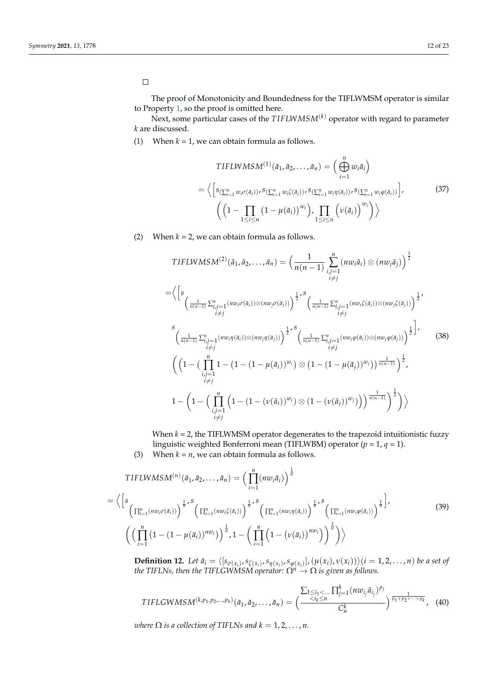# $\Box$

The proof of Monotonicity and Boundedness for the TIFLWMSM operator is similar to Property [1,](#page-6-0) so the proof is omitted here.

Next, some particular cases of the *T IFLWMSM*(*k*) operator with regard to parameter *k* are discussed.

(1) When  $k = 1$ , we can obtain formula as follows.

$$
TIFLWMSM^{(1)}(\bar{a}_1, \bar{a}_2, ..., \bar{a}_n) = \left(\bigoplus_{i=1}^n w_i \bar{a}_i\right)
$$
  
=  $\left\langle \left[s_{\left(\sum_{i=1}^n w_i \sigma(\bar{a}_i)\right)}, s_{\left(\sum_{i=1}^n w_i \zeta(\bar{a}_i)\right)}, s_{\left(\sum_{i=1}^n w_i \eta(\bar{a}_i)\right)}, s_{\left(\sum_{i=1}^n w_i \phi(\bar{a}_i)\right)}\right],$  (37)  
 $\left(\left(1 - \prod_{1 \le i \le n} \left(1 - \mu(\bar{a}_i)\right)^{w_i}\right), \prod_{1 \le i \le n} \left(\nu(\bar{a}_i)\right)^{w_i}\right)\right\rangle$ 

(2) When  $k = 2$ , we can obtain formula as follows.

$$
TIFLWMSM^{(2)}(\bar{a}_{1}, \bar{a}_{2},..., \bar{a}_{n}) = \left(\frac{1}{n(n-1)} \sum_{\substack{i,j=1 \ i \neq j}}^{n} (nv_{i}\bar{a}_{i}) \otimes (nv_{j}\bar{a}_{j})\right)^{\frac{1}{2}}
$$
  
\n
$$
= \left\langle \left[s_{\left(\frac{1}{n(n-1)}\sum_{\substack{i,j=1 \ i \neq j}}^{n} (nv_{i}\sigma(\bar{a}_{i})) \otimes (nv_{j}\sigma(\bar{a}_{j}))\right)^{\frac{1}{2}}, s_{\left(\frac{1}{n(n-1)}\sum_{\substack{i,j=1 \ i \neq j}}^{n} (nv_{i}\zeta(\bar{a}_{i})) \otimes (nv_{j}\zeta(\bar{a}_{j}))\right)^{\frac{1}{2}}},
$$
  
\n
$$
\left(\frac{1}{n(n-1)}\sum_{\substack{i,j=1 \ i \neq j}}^{n} (nv_{i}\eta(\bar{a}_{i})) \otimes (nv_{j}\eta(\bar{a}_{j}))\right)^{\frac{1}{2}}, s_{\left(\frac{1}{n(n-1)}\sum_{\substack{i,j=1 \ i \neq j}}^{n} (nv_{i}\phi(\bar{a}_{i})) \otimes (nw_{j}\phi(\bar{a}_{j}))\right)^{\frac{1}{2}}},
$$
  
\n
$$
\left(\left(1 - \left(\prod_{\substack{i,j=1 \ i \neq j}}^{n} 1 - \left(1 - \left(1 - \mu(\bar{a}_{i})\right)^{w_{i}}\right) \otimes \left(1 - \left(1 - \mu(\bar{a}_{j})\right)^{w_{j}}\right)\right)^{\frac{1}{n(n-1)}}\right)^{\frac{1}{2}},
$$
  
\n
$$
1 - \left(1 - \left(\prod_{\substack{i,j=1 \ i \neq j}}^{n} \left(1 - \left(1 - (\nu(\bar{a}_{i}))^{w_{i}}\right) \otimes \left(1 - (\nu(\bar{a}_{j}))^{w_{j}}\right)\right)\right)^{\frac{1}{n(n-1)}}\right)^{\frac{1}{2}}\right)\right\rangle
$$
  
\n(38)

When *k* = 2, the TIFLWMSM operator degenerates to the trapezoid intuitionistic fuzzy linguistic weighted Bonferroni mean (TIFLWBM) operator (*p* = 1, *q* = 1).

(3) When  $k = n$ , we can obtain formula as follows.

$$
TIFLWMSM^{(n)}(\bar{a}_1, \bar{a}_2, ..., \bar{a}_n) = \left(\prod_{i=1}^n (nw_i \bar{a}_i)\right)^{\frac{1}{n}}
$$
  
=  $\left\langle \left[s\left(\prod_{i=1}^n (nw_i \sigma(\bar{a}_i))\right)^{\frac{1}{n}}, s\left(\prod_{i=1}^n (nw_i \zeta(\bar{a}_i))\right)^{\frac{1}{n}}, s\left(\prod_{i=1}^n (nw_i \eta(\bar{a}_i))\right)^{\frac{1}{n}}, s\left(\prod_{i=1}^n (nw_i \phi(\bar{a}_i))\right)^{\frac{1}{n}}\right\} \right\rangle$  (39)  
 $\left(\left(\prod_{i=1}^n (1 - (1 - \mu(\bar{a}_i))^{nw_i})\right)^{\frac{1}{n}}, 1 - \left(\prod_{i=1}^n (1 - (\nu(\bar{a}_i))^{nw_i})\right)^{\frac{1}{n}}\right)\right\rangle$ 

<span id="page-11-0"></span>**Definition 12.** Let  $\bar{a}_i = \langle [s_{\sigma(x_i)}, s_{\zeta(x_i)}, s_{\eta(x_i)}, s_{\varphi(x_i)}], (\mu(x_i), \nu(x_i)) \rangle (i = 1, 2, ..., n)$  be a set of *the TIFLNs, then the TIFLGWMSM operator:*  $\Omega^n \rightarrow \Omega$  *is given as follows.* 

$$
TIFLGWMSM^{(k,p_1,p_2,...,p_k)}(\bar{a}_1,\bar{a}_2,...,\bar{a}_n)=\left(\frac{\sum_{1\leq i_1<...}\prod_{j=1}^k(nw_{i_j}\bar{a}_{i_j})^{p_j}}{C_n^k}\right)^{\frac{1}{p_1+p_2+\cdots+p_k}},\quad(40)
$$

*where*  $\Omega$  *is a collection of TIFLNs and*  $k = 1, 2, ..., n$ .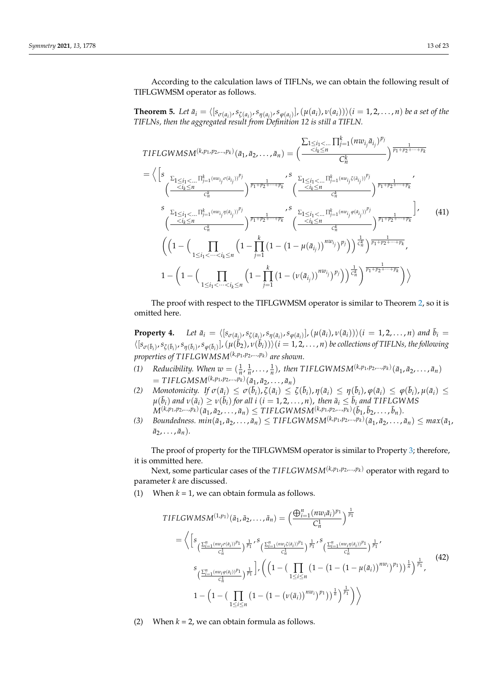According to the calculation laws of TIFLNs, we can obtain the following result of TIFLGWMSM operator as follows.

**Theorem 5.** Let  $\bar{a}_i = \langle [s_{\sigma(a_i)}, s_{\zeta(a_i)}, s_{\eta(a_i)}, s_{\varphi(a_i)}], (\mu(a_i), \nu(a_i)) \rangle (i = 1, 2, ..., n)$  be a set of the *TIFLNs, then the aggregated result from Definition 12 is still a TIFLN.*

$$
\begin{split}\n\text{TIFLGWMSM}(k, p_1, p_2, \ldots, p_k) \left( \bar{a}_1, \bar{a}_2, \ldots, \bar{a}_n \right) &= \left( \frac{\sum_{1 \le i_1 < \ldots \atop 1 \le i_k \le n} \prod_{j=1}^k (n w_{i_j} \bar{a}_{i_j})^{p_j}}{C_n^k} \right)^{\frac{1}{p_1 + p_2 + \ldots + p_k}} \\
&= \left\langle \left[ s \frac{\sum_{1 \le i_1 < \ldots \atop 1 \le i_1 < \ldots \atop j \le i_k \le n} \prod_{j=1}^k (n w_{i_j} \sigma(\bar{a}_{i_j}))^{p_j}}{C_n^k} \right)^{\frac{1}{p_1 + p_2 + \ldots + p_k}} \left( \frac{\sum_{1 \le i_1 < \ldots \atop 1 \le i_1 < \ldots \atop 1 \le i_k \le n} \prod_{j=1}^k (n w_{i_j} \sigma(\bar{a}_{i_j}))^{p_j}}{C_n^k} \right)^{\frac{1}{p_1 + p_2 + \ldots + p_k}} \\
& \left( \frac{\sum_{1 \le i_1 < \ldots \atop 1 \le i_1 < \ldots \atop 1 \le i_1 \le \ldots \atop 1 \le i_1 \le \ldots \atop 1 \le i_k \le n} \prod_{j=1}^k (1 - (1 - \mu(\bar{a}_{i_j}))^{n w_{i_j}})^{p_j}}{C_n^k} \right)^{\frac{1}{p_1 + p_2 + \ldots + p_k}} \\
& \left( \left( 1 - \left( \prod_{1 \le i_1 < \ldots < i_k \le n} \left( 1 - \prod_{j=1}^k (1 - (1 - \mu(\bar{a}_{i_j}))^{n w_{i_j}})^{p_j} \right) \right)^{\frac{1}{C_n}} \right)^{\frac{1}{p_1 + p_2 + \ldots + p_k}}, \\
& 1 - \left( 1 - \left( \prod_{1 \le i_1 < \ldots < i_k \le n} \left( 1 - \prod_{j=1}^k (1 - (\nu(\bar{a}_{i_j}))^{n w_{i_j}})^{p_j} \right) \right)^{\frac{1}{C_n}} \right)^{\frac{1}{p_1 + p_2 + \ldots +
$$

The proof with respect to the TIFLGWMSM operator is similar to Theorem [2,](#page-5-0) so it is omitted here.

**Property 4.** Let  $\bar{a}_i = \langle [s_{\sigma(\bar{a}_i)}, s_{\zeta(\bar{a}_i)}, s_{\eta(\bar{a}_i)}, s_{\varphi(\bar{a}_i)}], (\mu(\bar{a}_i), \nu(\bar{a}_i)) \rangle (i = 1, 2, ..., n)$  and  $\bar{b}_i =$  $\langle [s_{\sigma(\bar{b}_i)}, s_{\zeta(\bar{b}_i)}, s_{\eta(\bar{b}_i)}, s_{\phi(\bar{b}_i)}], (\mu(\bar{b}_2), \nu(\bar{b}_i)) \rangle (i = 1, 2, ..., n)$  be collections of TIFLNs, the following *properties of T IFLGWMSM*(*k*,*p*<sup>1</sup> ,*p*2,...,*p<sup>k</sup>* ) *are shown.*

- *(1) Reducibility. When*  $w = (\frac{1}{n}, \frac{1}{n}, \ldots, \frac{1}{n})$ , then TIFLGWMSM<sup>(*k,p*1,*p*2, ...,*pk*)( $\bar{a}_1, \bar{a}_2, \ldots, \bar{a}_n$ )</sup>  $= TIFLGMSM^{(k,p_1,p_2,...,p_k)}(\bar{a}_1, \bar{a}_2,..., \bar{a}_n)$
- (2) Monotonicity. If  $\sigma(\bar{a}_i) \leq \sigma(\bar{b}_i)$ ,  $\zeta(\bar{a}_i) \leq \zeta(\bar{b}_i)$ ,  $\eta(\bar{a}_i) \leq \eta(\bar{b}_i)$ ,  $\varphi(\bar{a}_i) \leq \varphi(\bar{b}_i)$ ,  $\mu(\bar{a}_i) \leq \zeta(\bar{b}_i)$  $\mu(\bar{b}_i)$  and  $\nu(\bar{a}_i) \ge \nu(\bar{b}_i)$  for all  $i$   $(i=1,2,\ldots,n)$ , then  $\bar{a}_i \le \bar{b}_i$  and TIFLGWMS  $M^{(k,p_1,p_2,\ldots,p_k)}(\bar{a}_1,\bar{a}_2,\ldots,\bar{a}_n)\leq TIFLGWMSM^{(k,p_1,p_2,\ldots,p_k)}(\bar{b}_1,\bar{b}_2,\ldots,\bar{b}_n).$
- (3) Boundedness.  $min(\bar{a}_1, \bar{a}_2, \ldots, \bar{a}_n) \leq TIFLGWMSM^{(k, p_1, p_2, \ldots, p_k)}(\bar{a}_1, \bar{a}_2, \ldots, \bar{a}_n) \leq max(\bar{a}_1,$  $\bar{a}_2, \ldots, \bar{a}_n$ ).

The proof of property for the TIFLGWMSM operator is similar to Property [3;](#page-10-0) therefore, it is ommitted here.

Next, some particular cases of the *T IFLGWMSM*(*k*,*p*<sup>1</sup> ,*p*2,...,*p<sup>k</sup>* ) operator with regard to parameter *k* are discussed.

(1) When  $k = 1$ , we can obtain formula as follows.

$$
TIFLGWMSM^{(1,p_{1})}(\bar{a}_{1}, \bar{a}_{2},..., \bar{a}_{n}) = \left(\frac{\bigoplus_{i=1}^{n} (nv_{i}\bar{a}_{i})^{p_{1}}}{C_{n}^{1}}\right)^{\frac{1}{p_{1}}} \n= \left\langle \left[s_{\left(\frac{\sum_{i=1}^{n} (nv_{i}\sigma(\bar{a}_{i}))^{p_{1}}}{C_{n}^{1}}\right)^{\frac{1}{p_{1}}}}, s_{\left(\frac{\sum_{i=1}^{n} (nv_{i}\bar{c}(\bar{a}_{i}))^{p_{1}}}{C_{n}^{1}}\right)^{\frac{1}{p_{1}}}}, s_{\left(\frac{\sum_{i=1}^{n} (nv_{i}\eta(\bar{a}_{i}))^{p_{1}}}{C_{n}^{1}}\right)^{\frac{1}{p_{1}}}}, s_{\left(\frac{\sum_{i=1}^{n} (nv_{i}\eta(\bar{a}_{i}))^{p_{1}}}{C_{n}^{1}}\right)^{\frac{1}{p_{1}}}}, s_{\left(\frac{\sum_{i=1}^{n} (nv_{i}\sigma(\bar{a}_{i}))^{p_{1}}}{C_{n}^{1}}\right)^{\frac{1}{p_{1}}}}, s_{\left(\frac{\sum_{i=1}^{n} (nv_{i}\sigma(\bar{a}_{i}))^{p_{1}}}{C_{n}^{1}}\right)^{\frac{1}{p_{1}}}}\right\rangle
$$
\n
$$
1 - \left(1 - \left(\prod_{1 \leq i \leq n} \left(1 - \left(1 - \left(\nu(\bar{a}_{i})\right)^{nv_{i}}\right)^{p_{1}}\right)\right)^{\frac{1}{n}}\right)^{\frac{1}{p_{1}}}\right\rangle \right\rangle
$$
\n
$$
(42)
$$

(2) When  $k = 2$ , we can obtain formula as follows.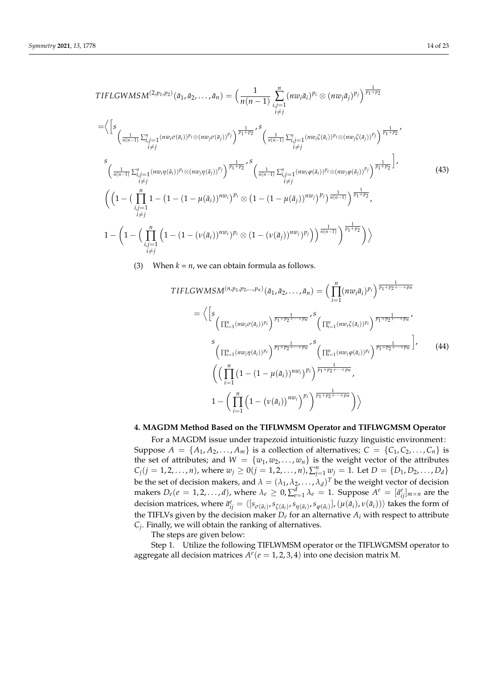$$
TIFLCWMSM^{(2,p_1,p_2)}(\bar{a}_1, \bar{a}_2, ..., \bar{a}_n) = \left(\frac{1}{n(n-1)} \sum_{\substack{i,j=1 \ i \neq j}}^n (nw_i \bar{a}_i)^{p_i} \otimes (nw_j \bar{a}_j)^{p_j}\right)^{\frac{1}{p_1+p_2}}
$$
  
\n
$$
= \left\langle \left[s \frac{1}{\left(\frac{1}{n(n-1)} \sum_{\substack{i,j=1 \ i \neq j}}^n (nw_i \sigma(\bar{a}_i))^{p_i} \otimes (nw_j \sigma(\bar{a}_j))^{p_j}\right)^{\frac{1}{p_1+p_2}}}, \left(s \frac{1}{\frac{1}{n(n-1)} \sum_{\substack{i,j=1 \ i \neq j}}^n (nw_i \zeta(\bar{a}_i))^{p_i} \otimes (nw_j \zeta(\bar{a}_j))^{p_j}\right)^{\frac{1}{p_1+p_2}}}, \left(s \frac{1}{\frac{1}{n(n-1)} \sum_{\substack{i,j=1 \ i \neq j}}^n (nw_i \sigma(\bar{a}_i))^{p_i} \otimes (nw_j \sigma(\bar{a}_j))^{p_j}\right)^{\frac{1}{p_1+p_2}}}\right\rangle,
$$
  
\n
$$
\left(\left(1 - \left(\prod_{\substack{i,j=1 \ i \neq j}}^n 1 - \left(1 - (1 - \mu(\bar{a}_i))^{n w_i}\right)^{p_i} \otimes \left(1 - (1 - \mu(\bar{a}_j))^{n w_j}\right)^{p_j}\right)^{\frac{1}{n(n-1)}}\right)^{\frac{1}{p_1+p_2}}, \left(43\right)^{\frac{1}{p_1+p_2}}\right)^{\frac{1}{p_1+p_2}},
$$
  
\n
$$
1 - \left(1 - \left(\prod_{\substack{i,j=1 \ i \neq j}}^n \left(1 - (1 - (\nu(\bar{a}_i))^{n w_i})^{p_i} \otimes (1 - (\nu(\bar{a}_j))^{n w_j})^{p_j}\right)\right)^{\frac{1}{n(n-1)}}\right)^{\frac{1}{p_1+p_2}}\right)\right\rangle
$$
  
\n(43)

(3) When  $k = n$ , we can obtain formula as follows.

$$
TIFLCWMSM^{(n,p_1,p_2,...,p_n)}(\bar{a}_1, \bar{a}_2, ..., \bar{a}_n) = \left(\prod_{i=1}^n (nv_i \bar{a}_i)^{p_i}\right)^{\frac{1}{p_1+p_2+\cdots+p_n}}
$$
  
\n
$$
= \left\langle \left[s \left(\prod_{i=1}^n (nv_i \sigma(\bar{a}_i))^{p_i}\right)^{\frac{1}{p_1+p_2+\cdots+p_n}}, s \left(\prod_{i=1}^n (nv_i \zeta(\bar{a}_i))^{p_i}\right)^{\frac{1}{p_1+p_2+\cdots+p_n}}, \left(\prod_{i=1}^n (nv_i \sigma(\bar{a}_i))^{p_i}\right)^{\frac{1}{p_1+p_2+\cdots+p_n}}\right\rangle \right\}
$$
  
\n
$$
\left(\prod_{i=1}^n (1 - (1 - \mu(\bar{a}_i))^{nv_i})^{p_i}\right)^{\frac{1}{p_1+p_2+\cdots+p_n}},
$$
  
\n
$$
1 - \left(\prod_{i=1}^n \left(1 - (\nu(\bar{a}_i))^{nv_i}\right)^{p_i}\right)^{\frac{1}{p_1+p_2+\cdots+p_n}},
$$
\n
$$
\left(1 - (\mu(\bar{a}_i))^{nv_i}\right)^{\frac{1}{p_1+p_2+\cdots+p_n}}\right)\right\rangle
$$
\n
$$
(44)
$$

## <span id="page-13-0"></span>**4. MAGDM Method Based on the TIFLWMSM Operator and TIFLWGMSM Operator**

For a MAGDM issue under trapezoid intuitionistic fuzzy linguistic environment: Suppose  $A = \{A_1, A_2, \ldots, A_m\}$  is a collection of alternatives;  $C = \{C_1, C_2, \ldots, C_n\}$  is the set of attributes; and  $W = \{w_1, w_2, \dots, w_n\}$  is the weight vector of the attributes  $C_j$ (*j* = 1, 2, . . . , *n*), where  $w_j \ge 0$ (*j* = 1, 2, . . . , *n*),  $\sum_{j=1}^n w_j = 1$ . Let  $D = \{D_1, D_2, \ldots, D_d\}$ be the set of decision makers, and  $\lambda=(\lambda_1,\lambda_2,\ldots,\lambda_d)^T$  be the weight vector of decision makers  $D_e(e=1,2,\ldots,d)$ , where  $\lambda_e\geq 0$ ,  $\sum_{e=1}^d\lambda_e=1$ . Suppose  $A^e=[\bar{a}^e_{ij}]_{m\times n}$  are the decision matrices, where  $\bar{a}_{ij}^e = \langle [s_{\sigma(\bar{a}_i)}, s_{\zeta(\bar{a}_i)}, s_{\eta(\bar{a}_i)}, s_{\varphi(\bar{a}_i)}], (\mu(\bar{a}_i), \nu(\bar{a}_i)) \rangle$  takes the form of the TIFLVs given by the decision maker *D<sup>e</sup>* for an alternative *A<sup>i</sup>* with respect to attribute *Cj* . Finally, we will obtain the ranking of alternatives.

The steps are given below:

Step 1. Utilize the following TIFLWMSM operator or the TIFLWGMSM operator to aggregate all decision matrices  $A^e(e = 1, 2, 3, 4)$  into one decision matrix M.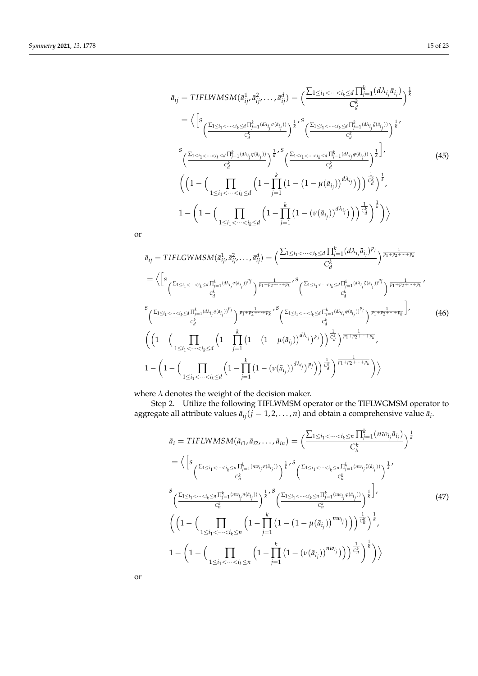$$
\bar{a}_{ij} = TIFLWMSM(\bar{a}_{ij}^{1}, \bar{a}_{ij}^{2}, \dots, \bar{a}_{ij}^{d}) = \left(\frac{\sum_{1 \le i_1 < \dots < i_k \le d} \prod_{j=1}^{k} (d\lambda_{i_j} \bar{a}_{i_j})}{C_d^k}\right)^{\frac{1}{k}}
$$
\n
$$
= \left\langle \left[s \frac{\sum_{1 \le i_1 < \dots < i_k \le d} \prod_{j=1}^{k} (d\lambda_{i_j} \sigma(\bar{a}_{i_j}))}{C_d^k}\right)^{\frac{1}{k}} \right\rangle^{\frac{1}{k}} \left(\frac{\sum_{1 \le i_1 < \dots < i_k \le d} \prod_{j=1}^{k} (d\lambda_{i_j} \bar{a}_{i_j}))}{C_d^k}\right)^{\frac{1}{k}} \left(\frac{\sum_{1 \le i_1 < \dots < i_k \le d} \prod_{j=1}^{k} (d\lambda_{i_j} \varphi(\bar{a}_{i_j}))}{C_d^k}\right)^{\frac{1}{k}}\right\rangle^{\frac{1}{k}}
$$
\n
$$
\left(\left(1 - \left(\prod_{1 \le i_1 < \dots < i_k \le d} \left(1 - \prod_{j=1}^{k} \left(1 - (1 - \mu(\bar{a}_{i_j}))^{d\lambda_{i_j}}\right)\right)^{\frac{1}{k}}\right)^{\frac{1}{k}}\right),
$$
\n
$$
1 - \left(1 - \left(\prod_{1 \le i_1 < \dots < i_k \le d} \left(1 - \prod_{j=1}^{k} \left(1 - (\nu(\bar{a}_{i_j}))^{d\lambda_{i_j}}\right)\right)^{\frac{1}{k}}\right)^{\frac{1}{k}}\right)\right)
$$
\n
$$
(45)
$$

or

$$
\bar{a}_{ij} = TIFLCWMSM(\bar{a}_{ij}^{1}, \bar{a}_{ij}^{2}, \dots, \bar{a}_{ij}^{d}) = \left(\frac{\sum_{1 \le i_1 < \dots < i_k \le d} \prod_{j=1}^{k} (d\lambda_{i_j} \bar{a}_{i_j})^{p_j}}{C_d^{k}}\right)^{\frac{1}{p_1 + p_2 + \dots + p_k}}
$$
\n
$$
= \left\langle \left[s_{\frac{\sum_{1 \le i_1 < \dots < i_k \le d} \prod_{j=1}^{k} (d\lambda_{i_j} \sigma(a_{i_j}))^{p_j}}{C_d^{k}}}\right)^{\frac{1}{p_1 + p_2 + \dots + p_k}}, s_{\frac{\sum_{1 \le i_1 < \dots < i_k \le d} \prod_{j=1}^{k} (d\lambda_{i_j} \bar{c}(a_{i_j}))^{p_j}}{C_d^{k}}}\right)^{\frac{1}{p_1 + p_2 + \dots + p_k}}
$$
\n
$$
\sum_{i_1 < i_2 < \dots < i_k \le d} s_{\frac{1}{i_1 + 1} \cdot (d\lambda_{i_j} \eta(a_{i_j}))^{p_j}}}{\frac{1}{i_1 + 1} \cdot (d\lambda_{i_j} \eta(a_{i_j}))^{p_j}}{C_d^{k}}}\right)^{\frac{1}{p_1 + p_2 + \dots + p_k}}, s_{\frac{\sum_{1 \le i_1 < \dots < i_k \le d} \prod_{j=1}^{k} (d\lambda_{i_j} \phi(a_{i_j}))^{p_j}}{C_d^{k}}}}{\left(\frac{1 - \left(1 - \left(1 - \prod_{1 \le i_1 < \dots < i_k \le d} \left(1 - \prod_{j=1}^{k} \left(1 - (1 - \mu(\bar{a}_{i_j}))^{d\lambda_{i_j}}\right)^{p_j}\right)\right)^{\frac{1}{k}}\right)^{\frac{1}{p_1 + p_2 + \dots + p_k}}, s_{\frac{1}{k}}}{\frac{1}{i_1 + 1} \cdot (d\lambda_{i_j} \phi(a_{i_j}))^{p_j}}\right)^{\frac{1}{p_1 + p_2 + \dots + p_k}}, s_{\frac{1}{k}}}
$$
\n
$$
1 - \left(1 - \left(\prod_{1 \le i_1 < \dots < i_k \le d} \left(1 - \prod_{j=1}^{k} \left(1 - (\nu(\bar{a}_{i_j}))^{d\lambda_{i_j}}\
$$

where  $\lambda$  denotes the weight of the decision maker.

Step 2. Utilize the following TIFLWMSM operator or the TIFLWGMSM operator to aggregate all attribute values  $\bar{a}_{ij}$  ( $j = 1, 2, \ldots, n$ ) and obtain a comprehensive value  $\bar{a}_i$ .

$$
\bar{a}_{i} = TIFLWMSM(\bar{a}_{i1}, \bar{a}_{i2},..., \bar{a}_{in}) = \left(\frac{\sum_{1 \leq i_{1} < ... < i_{k} \leq n} \prod_{j=1}^{k} (nv_{i_{j}} \bar{a}_{i_{j}})}{C_{n}^{k}}\right)^{\frac{1}{k}}
$$
\n
$$
= \left\langle \left[s_{\frac{\sum_{1 \leq i_{1} < ... < i_{k} \leq n} \prod_{j=1}^{k} (nv_{i_{j}} \sigma(\bar{a}_{i_{j}}))}{C_{n}^{k}}\right)^{\frac{1}{k}}, s_{\frac{\sum_{1 \leq i_{1} < ... < i_{k} \leq n} \prod_{j=1}^{k} (nv_{i_{j}} \zeta(\bar{a}_{i_{j}}))}{C_{n}^{k}}\right)^{\frac{1}{k}}},
$$
\n
$$
\left(\frac{\sum_{1 \leq i_{1} < ... < i_{k} \leq n} \prod_{j=1}^{k} (nv_{i_{j}} \eta(\bar{a}_{i_{j}}))}{C_{n}^{k}}\right)^{\frac{1}{k}}, s_{\frac{\sum_{1 \leq i_{1} < ... < i_{k} \leq n} \prod_{j=1}^{k} (nw_{i_{j}} \sigma(\bar{a}_{i_{j}}))}{C_{n}^{k}}\right)^{\frac{1}{k}}},
$$
\n
$$
\left(\left(1 - \left(\prod_{1 \leq i_{1} < ... < i_{k} \leq n} \left(1 - \prod_{j=1}^{k} \left(1 - \left(1 - \mu(\bar{a}_{i_{j}})\right)^{nv_{i_{j}}}\right)\right)\right)^{\frac{1}{C_{n}}}\right)^{\frac{1}{k}},
$$
\n
$$
1 - \left(1 - \left(\prod_{1 \leq i_{1} < ... < i_{k} \leq n} \left(1 - \prod_{j=1}^{k} \left(1 - \left(\nu(\bar{a}_{i_{j}})\right)^{nv_{i_{j}}}\right)\right)\right)^{\frac{1}{C_{n}^{k}}}\right)^{\frac{1}{k}}\right)\right\rangle
$$
\n
$$
(47)
$$

or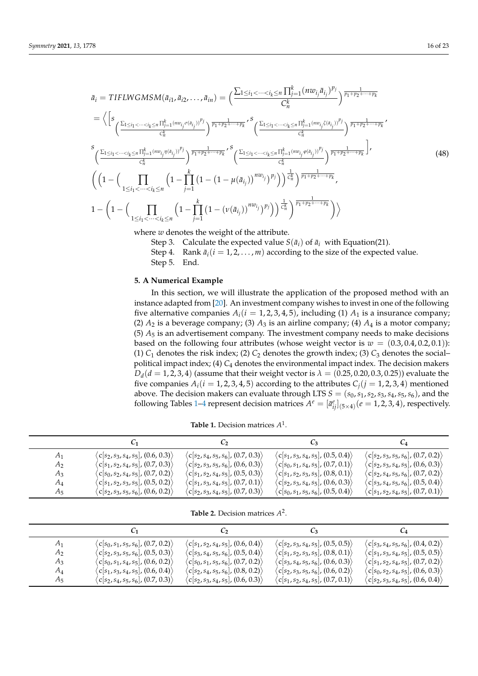$$
\bar{a}_{i} = TIFLWSMSM(\bar{a}_{i1}, \bar{a}_{i2}, ..., \bar{a}_{in}) = \left(\frac{\sum_{1 \leq i_{1} < ... < i_{k} \leq n} \prod_{j=1}^{k} (nv_{i_{j}} \bar{a}_{i_{j}})^{p_{j}}}{C_{n}^{k}}\right)^{\frac{1}{p_{1} + p_{2} + ... + p_{k}}}
$$
\n
$$
= \left\langle \left[s_{\frac{\sum_{1 \leq i_{1} < ... < i_{k} \leq n} \prod_{j=1}^{k} (nv_{i_{j}} \sigma(\bar{a}_{i_{j}}))^{p_{j}}}{C_{n}^{k}}}\right)^{\frac{1}{p_{1} + p_{2} + ... + p_{k}}}, s_{\frac{\sum_{1 \leq i_{1} < ... < i_{k} \leq n} \prod_{j=1}^{k} (nv_{i_{j}} \sigma(\bar{a}_{i_{j}}))^{p_{j}}}{C_{n}^{k}}}\right)^{\frac{1}{p_{1} + p_{2} + ... + p_{k}}},
$$
\n
$$
\left(\frac{\sum_{1 \leq i_{1} < ... < i_{k} \leq n} \prod_{j=1}^{k} (vw_{i_{j}} \sigma(\bar{a}_{i_{j}}))^{p_{j}}}{C_{n}^{k}}}\right)^{\frac{1}{p_{1} + p_{2} + ... + p_{k}}}, s_{\frac{\sum_{1 \leq i_{1} < ... < i_{k} \leq n} \prod_{j=1}^{k} (vw_{i_{j}} \sigma(\bar{a}_{i_{j}}))^{p_{j}}}{C_{n}^{k}}}\right)^{\frac{1}{p_{1} + p_{2} + ... + p_{k}}},
$$
\n
$$
\left(\left(1 - \left(\prod_{1 \leq i_{1} < ... < i_{k} \leq n} \left(1 - \prod_{j=1}^{k} \left(1 - (1 - \mu(\bar{a}_{i_{j}}))^{nv_{i_{j}}}\right)^{p_{j}}\right)\right)^{\frac{1}{k}}\right)^{\frac{1}{p_{1} + p_{2} + ... + p_{k}}},
$$
\n
$$
1 - \left(1 - \left(\prod_{1 \leq i_{1} < ... < i_{k} \leq n} \left(1 - \prod_{j=1}^{k} \left(1 - (\nu(\bar{a}_{i_{j}}))^{nv_{i_{j}}}\right)^{p_{j}}\right)\right)^{\frac{1}{k
$$

where *w* denotes the weight of the attribute.

- Step 3. Calculate the expected value  $S(\bar{a}_i)$  of  $\bar{a}_i$  with Equation(21).
- Step 4. Rank  $\bar{a}_i$  ( $i = 1, 2, ..., m$ ) according to the size of the expected value. Step 5. End.

## <span id="page-15-0"></span>**5. A Numerical Example**

In this section, we will illustrate the application of the proposed method with an instance adapted from [\[20\]](#page-22-3). An investment company wishes to invest in one of the following five alternative companies  $A_i(i = 1, 2, 3, 4, 5)$ , including (1)  $A_1$  is a insurance company; (2)  $A_2$  is a beverage company; (3)  $A_3$  is an airline company; (4)  $A_4$  is a motor company; (5) *A*<sup>5</sup> is an advertisement company. The investment company needs to make decisions based on the following four attributes (whose weight vector is  $w = (0.3, 0.4, 0.2, 0.1)$ ): (1)  $C_1$  denotes the risk index; (2)  $C_2$  denotes the growth index; (3)  $C_3$  denotes the social– political impact index; (4) *C*<sup>4</sup> denotes the environmental impact index. The decision makers  $D_d(d = 1, 2, 3, 4)$  (assume that their weight vector is  $\lambda = (0.25, 0.20, 0.3, 0.25)$ ) evaluate the five companies  $A_i(i = 1, 2, 3, 4, 5)$  according to the attributes  $C_i(j = 1, 2, 3, 4)$  mentioned above. The decision makers can evaluate through LTS *S* = (*s*0,*s*1,*s*2,*s*3,*s*4,*s*5,*s*6), and the following Tables [1–](#page-15-1)[4](#page-16-0) represent decision matrices  $A^e = [\bar{a}^e_{ij}]_{(5\times4)} (e = 1, 2, 3, 4)$ , respectively.

<span id="page-15-1"></span>

|       |                                                     | $\mathcal{C}_{2}$                                                                                     | <b>C</b> <sub>3</sub>                                                                        | $C_4$                                                                                                 |
|-------|-----------------------------------------------------|-------------------------------------------------------------------------------------------------------|----------------------------------------------------------------------------------------------|-------------------------------------------------------------------------------------------------------|
| $A_1$ | $\langle c[s_2, s_3, s_4, s_5], (0.6, 0.3) \rangle$ | $\langle c[s_2, s_4, s_5, s_6], (0.7, 0.3) \rangle$                                                   | $\langle c[s_1,s_3,s_4,s_5], (0.5,0.4) \rangle$                                              | $\langle c[s_2,s_3,s_5,s_6], (0.7,0.2) \rangle$                                                       |
| $A_2$ | $\langle c[s_1,s_2,s_4,s_5], (0.7,0.3) \rangle$     | $\langle c[s_2,s_3,s_5,s_6], (0.6, 0.3) \rangle$                                                      | $\langle c[s_0,s_1,s_4,s_5], (0.7,0.1) \rangle$                                              | $\langle c[s_2,s_3,s_4,s_5], (0.6,0.3) \rangle$                                                       |
| $A_3$ | $\langle c[s_0,s_2,s_4,s_5], (0.7,0.2) \rangle$     | $\langle c[s_1,s_2,s_4,s_5], (0.5,0.3) \rangle$                                                       | $\langle c[s_1,s_2,s_3,s_5], (0.8, 0.1) \rangle$                                             | $\langle$ c[s <sub>2</sub> , s <sub>4</sub> , s <sub>5</sub> , s <sub>6</sub> ], (0.7, 0.2) $\rangle$ |
| $A_4$ | $\langle c[s_1,s_2,s_3,s_5], (0.5,0.2) \rangle$     | $\langle c[s_1,s_3,s_4,s_5], (0.7,0.1) \rangle$                                                       | $\langle$ c[s <sub>2</sub> , s <sub>3</sub> , s <sub>4</sub> , s <sub>5</sub> ], (0.6, 0.3)) | $\langle$ c[s3, s <sub>4</sub> , s <sub>5</sub> , s <sub>6</sub> ], (0.5, 0.4)}                       |
| $A_5$ | $\langle c[s_2,s_3,s_5,s_6], (0.6,0.2) \rangle$     | $\langle$ c[s <sub>2</sub> , s <sub>3</sub> , s <sub>4</sub> , s <sub>5</sub> ], (0.7, 0.3) $\rangle$ | $\langle$ c[ $s_0,s_1,s_5,s_6\vert$ , (0.5, 0.4) $\rangle$                                   | $\langle$ c[s <sub>1</sub> , s <sub>2</sub> , s <sub>4</sub> , s <sub>5</sub> ], (0.7, 0.1) $\rangle$ |

**Table 1.** Decision matrices *A* 1 .

**Table 2.** Decision matrices *A* 2 .

|                |                                                                                                                                                                                                                | $\mathcal{C}_{2}$                                                                                                                                        | $\mathcal{C}_3$ and $\mathcal{C}_4$                                                                                                                       | $C_4$                                                                                                        |
|----------------|----------------------------------------------------------------------------------------------------------------------------------------------------------------------------------------------------------------|----------------------------------------------------------------------------------------------------------------------------------------------------------|-----------------------------------------------------------------------------------------------------------------------------------------------------------|--------------------------------------------------------------------------------------------------------------|
| $A_1$          | $\langle c[s_0,s_1,s_5,s_6], (0.7,0.2) \rangle$                                                                                                                                                                | $\langle c[s_1,s_2,s_4,s_5], (0.6, 0.4) \rangle$                                                                                                         | $\langle c[s_2,s_3,s_4,s_5], (0.5,0.5) \rangle$                                                                                                           | $\langle c[s_3,s_4,s_5,s_6], (0.4,0.2) \rangle$                                                              |
| $A_2$          | $\langle$ c[s <sub>2</sub> , s <sub>3</sub> , s <sub>5</sub> , s <sub>6</sub> ], (0.5, 0.3) $\rangle$                                                                                                          | $\langle c[s_3,s_4,s_5,s_6], (0.5,0.4) \rangle$                                                                                                          | $\langle$ c[ $s_1$ , $s_2$ , $s_3$ , $s_5$ ], (0.8, 0.1))                                                                                                 | $\langle c[s_1,s_3,s_4,s_5], (0.5,0.5) \rangle$                                                              |
| $A_3$<br>$A_4$ | $\langle$ c[s <sub>0</sub> , s <sub>1</sub> , s <sub>4</sub> , s <sub>5</sub> ], (0.6, 0.2) $\rangle$<br>$\langle$ c[s <sub>1</sub> , s <sub>3</sub> , s <sub>4</sub> , s <sub>5</sub> ], (0.6, 0.4) $\rangle$ | $\langle c[s_0,s_1,s_5,s_6], (0.7,0.2) \rangle$<br>$\langle$ c[s <sub>2</sub> , s <sub>4</sub> , s <sub>5</sub> , s <sub>6</sub> ], (0.8, 0.2) $\rangle$ | $\langle c[s_3,s_4,s_5,s_6], (0.6, 0.3) \rangle$<br>$\langle$ C[s <sub>2</sub> , s <sub>3</sub> , s <sub>5</sub> , s <sub>6</sub> ], (0.6, 0.2) $\rangle$ | $\langle c[s_1,s_2,s_4,s_5], (0.7,0.2) \rangle$<br>$\langle$ c[ $s_0$ , $s_2$ , $s_4$ , $s_5$ ], (0.6, 0.3)) |
| $A_5$          | $\langle$ c[s <sub>2</sub> , s <sub>4</sub> , s <sub>5</sub> , s <sub>6</sub> ], (0.7, 0.3) $\rangle$                                                                                                          | $\langle$ c[s <sub>2</sub> , s <sub>3</sub> , s <sub>4</sub> , s <sub>5</sub> ], (0.6, 0.3) $\rangle$                                                    | $\langle c[s_1,s_2,s_4,s_5], (0.7, 0.1) \rangle$                                                                                                          | $\langle c[s_2,s_3,s_4,s_5], (0.6, 0.4) \rangle$                                                             |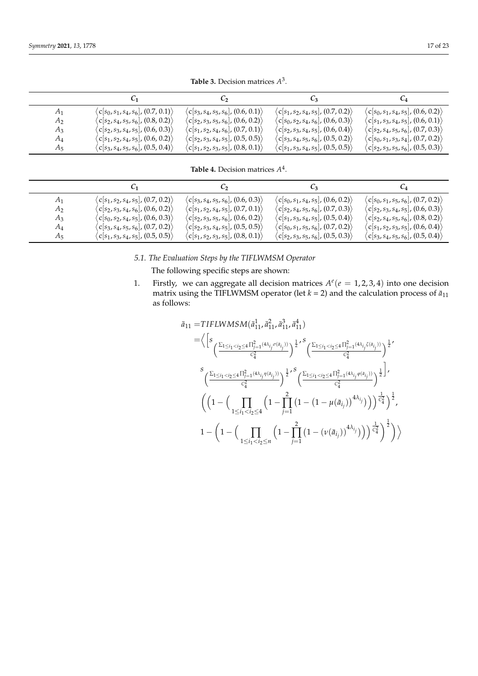**Table 3.** Decision matrices *A* 3 .

|                | U1                                                                                                    | U2                                                  | C٩                                                  | $C_4$                                               |
|----------------|-------------------------------------------------------------------------------------------------------|-----------------------------------------------------|-----------------------------------------------------|-----------------------------------------------------|
| A <sub>1</sub> | $\langle c[s_0,s_1,s_4,s_6], (0.7,0.1) \rangle$                                                       | $\langle c[s_3, s_4, s_5, s_6], (0.6, 0.1) \rangle$ | $\langle c[s_1,s_2,s_4,s_5], (0.7,0.2) \rangle$     | $\langle c[s_0,s_1,s_4,s_5], (0.6,0.2) \rangle$     |
| A <sub>2</sub> | $\langle$ C[s <sub>2</sub> , s <sub>4</sub> , s <sub>5</sub> , s <sub>6</sub> ], (0.8, 0.2) $\rangle$ | $\langle c[s_2,s_3,s_5,s_6], (0.6, 0.2) \rangle$    | $\langle c[s_0,s_2,s_4,s_6], (0.6, 0.3) \rangle$    | $\langle c[s_1,s_3,s_4,s_5], (0.6, 0.1) \rangle$    |
| $A_3$          | $\langle c[s_2, s_3, s_4, s_5], (0.6, 0.3) \rangle$                                                   | $\langle c[s_1,s_2,s_4,s_6], (0.7,0.1) \rangle$     | $\langle c[s_2, s_3, s_4, s_5], (0.6, 0.4) \rangle$ | $\langle c[s_2, s_4, s_5, s_6], (0.7, 0.3) \rangle$ |
| A4             | $\langle c[s_1,s_2,s_4,s_5], (0.6, 0.2) \rangle$                                                      | $\langle c[s_2,s_3,s_4,s_5], (0.5,0.5) \rangle$     | $\langle c[s_3,s_4,s_5,s_6], (0.5,0.2) \rangle$     | $\langle c[s_0,s_1,s_3,s_4], (0.7,0.2) \rangle$     |
| $A_5$          | $\langle c[s_3,s_4,s_5,s_6], (0.5,0.4) \rangle$                                                       | $\langle c[s_1,s_2,s_3,s_5], (0.8,0.1) \rangle$     | $\langle c[s_1,s_3,s_4,s_5], (0.5,0.5) \rangle$     | $\langle c[s_2,s_3,s_5,s_6], (0.5,0.3) \rangle$     |

**Table 4.** Decision matrices *A* 4 .

<span id="page-16-0"></span>

|       | U1                                                                    | C2                                               | Uз.                                             |                                                                                                       |
|-------|-----------------------------------------------------------------------|--------------------------------------------------|-------------------------------------------------|-------------------------------------------------------------------------------------------------------|
| $A_1$ | $\langle c[s_1,s_2,s_4,s_5], (0.7,0.2) \rangle$                       | $\langle c[s_3,s_4,s_5,s_6], (0.6,0.3) \rangle$  | $\langle c[s_0,s_1,s_4,s_5], (0.6,0.2) \rangle$ | $\langle c[s_0,s_1,s_5,s_6], (0.7,0.2) \rangle$                                                       |
| $A_2$ | $\langle c[s_2,s_3,s_4,s_6], (0.6,0.2) \rangle$                       | $\langle c[s_1,s_2,s_4,s_5], (0.7,0.1) \rangle$  | $\langle c[s_2,s_4,s_5,s_6], (0.7,0.3) \rangle$ | $\langle$ c[s <sub>2</sub> , s <sub>3</sub> , s <sub>4</sub> , s <sub>5</sub> ], (0.6, 0.3) $\rangle$ |
| $A_3$ | $\langle$ c[s $_0$ , s $_2$ , s $_4$ , s $_5$ ], (0.6, 0.3) $\rangle$ | $\langle c[s_2,s_3,s_5,s_6], (0.6, 0.2) \rangle$ | $\langle c[s_1,s_3,s_4,s_5], (0.5,0.4) \rangle$ | $\langle c[s_2,s_4,s_5,s_6], (0.8,0.2) \rangle$                                                       |
| $A_4$ | $\langle c[s_3,s_4,s_5,s_6], (0.7,0.2) \rangle$                       | $\langle c[s_2,s_3,s_4,s_5], (0.5,0.5) \rangle$  | $\langle c[s_0,s_1,s_5,s_6], (0.7,0.2) \rangle$ | $\langle c[s_1,s_2,s_3,s_5], (0.6, 0.4) \rangle$                                                      |
| A5    | $\langle c[s_1,s_3,s_4,s_5], (0.5,0.5) \rangle$                       | $\langle c[s_1,s_2,s_3,s_5], (0.8,0.1) \rangle$  | $\langle c[s_2,s_3,s_5,s_6], (0.5,0.3) \rangle$ | $\langle c[s_3,s_4,s_5,s_6], (0.5,0.4) \rangle$                                                       |

*5.1. The Evaluation Steps by the TIFLWMSM Operator*

The following specific steps are shown:

1. Firstly, we can aggregate all decision matrices  $A^e(e = 1, 2, 3, 4)$  into one decision matrix using the TIFLWMSM operator (let  $k = 2$ ) and the calculation process of  $\bar{a}_{11}$ as follows:

$$
\begin{split} \bar{a}_{11} = &TIFLWMSM(\bar{a}_{11}^1, \bar{a}_{11}^2, \bar{a}_{11}^3, \bar{a}_{11}^4) \\ = & \bigg\langle \bigg[s\frac{\sum_{1\leq i_1< i_2\leq 4}\prod_{j=1}^2(4\lambda_{i_j}\sigma(a_{i_j}))}{c_4^2}\bigg)^{\frac{1}{2}} \bigg.^S \bigg( \frac{\sum_{1\leq i_1< i_2\leq 4}\prod_{j=1}^2(4\lambda_{i_j}\xi(a_{i_j}))}{c_4^2}\bigg)^{\frac{1}{2}} \bigg.^S \\ & \bigg( \frac{\sum_{1\leq i_1< i_2\leq 4}\prod_{j=1}^2(4\lambda_{i_j}\eta(a_{i_j}))}{c_4^2}\bigg)^{\frac{1}{2}} \bigg.^S \bigg( \frac{\sum_{1\leq i_1< i_2\leq 4}\prod_{j=1}^2(4\lambda_{i_j}\varphi(a_{i_j}))}{c_4^2}\bigg)^{\frac{1}{2}} \bigg]^J \\ & \bigg( \bigg(1-\bigg(\prod_{1\leq i_1< i_2\leq 4}\bigg(1-\prod_{j=1}^2\big(1-\big(1-\mu(\bar{a}_{i_j})\big)^{4\lambda_{i_j}}\big)\bigg)\bigg)^{\frac{1}{c_4^2}}\bigg)^{\frac{1}{2}} , \\ & 1-\bigg(1-\bigg(\prod_{1\leq i_1< i_2\leq n}\bigg(1-\prod_{j=1}^2\big(1-(\nu(\bar{a}_{i_j}))^{4\lambda_{i_j}}\big)\bigg)\bigg)^{\frac{1}{c_4^2}}\bigg)^{\frac{1}{2}} \bigg)\bigg\rangle \end{split}
$$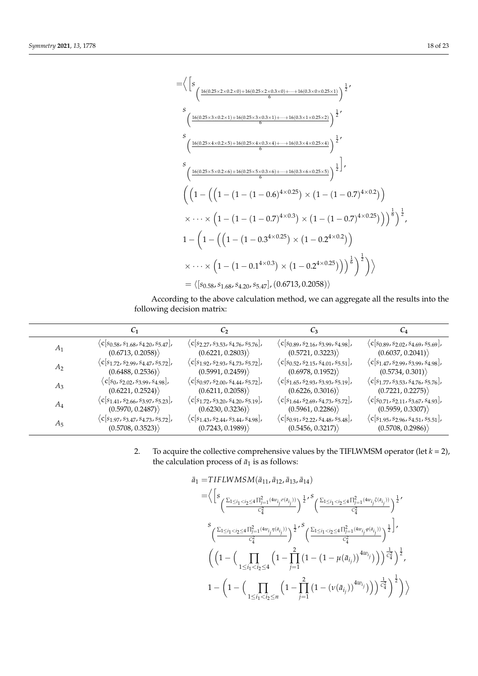

According to the above calculation method, we can aggregate all the results into the following decision matrix:

|                | C1                                                                                                    | $C_2$                                                        | $C_3$                                                        |                                                                   |
|----------------|-------------------------------------------------------------------------------------------------------|--------------------------------------------------------------|--------------------------------------------------------------|-------------------------------------------------------------------|
| $A_1$          | $\langle c   s_{0.58}, s_{1.68}, s_{4.20}, s_{5.47}  $ ,                                              | $\langle$ C $ s_{2,27}, s_{3,53}, s_{4,76}, s_{5,76}$ ,      | $\langle$ C $ s_{0.89}, s_{2.16}, s_{3.99}, s_{4.98}$ ,      | $\langle c   s_{0.89}, s_{2.02}, s_{4.69}, s_{5.69} \rangle$      |
|                | (0.6713, 0.2058)                                                                                      | (0.6221, 0.2803)                                             | (0.5721, 0.3223)                                             | (0.6037, 0.2041)                                                  |
| A <sub>2</sub> | $\langle c s_{1.72}, s_{2.99}, s_{4.47}, s_{5.72}\rangle$                                             | $\langle c[s_{1.92}, s_{2.93}, s_{4.73}, s_{5.72}],$         | $\langle c   s_{0.52}, s_{2.15}, s_{4.01}, s_{5.51}  $ ,     | $\langle$ C[ $s_{1.47}$ , $s_{2.99}$ , $s_{3.99}$ , $s_{4.98}$ ], |
|                | (0.6488, 0.2536)                                                                                      | (0.5991, 0.2459)                                             | (0.6978, 0.1952)                                             | (0.5734, 0.301)                                                   |
| $A_3$          | $\langle c   s_0, s_{2.02}, s_{3.99}, s_{4.98} \rangle$                                               | $\langle c   s_{0.97}, s_{2.00}, s_{4.44}, s_{5.72} \rangle$ | $\langle c s_{1.65}, s_{2.93}, s_{3.93}, s_{5.19}\rangle$    | $\langle c s_{1.77}, s_{3.53}, s_{4.76}, s_{5.76}\rangle$         |
|                | (0.6221, 0.2524)                                                                                      | (0.6211, 0.2058)                                             | (0.6226, 0.3016)                                             | (0.7221, 0.2275)                                                  |
| $A_4$          | $\langle$ C[ $s$ <sub>1.41</sub> , $s$ <sub>2.66</sub> , $s$ <sub>3.97</sub> , $s$ <sub>5.23</sub> ], | $\langle c[s_{1.72}, s_{3.20}, s_{4.20}, s_{5.19}],$         | $\langle c   s_{1.64}, s_{2.69}, s_{4.73}, s_{5.72} \rangle$ | $\langle c   s_{0.71}, s_{2.11}, s_{3.67}, s_{4.93} \rangle$      |
|                | (0.5970, 0.2487)                                                                                      | (0.6230, 0.3236)                                             | (0.5961, 0.2286)                                             | (0.5959, 0.3307)                                                  |
| $A_5$          | $\langle c s_{1.97}, s_{3.47}, s_{4.73}, s_{5.72}\rangle$                                             | $\langle c[s_{1.43}, s_{2.44}, s_{3.44}, s_{4.98}],$         | $\langle c[s_{0.91}, s_{2.22}, s_{4.48}, s_{5.48}],$         | $\langle c[s_{1.95}, s_{2.96}, s_{4.51}, s_{5.51}],$              |
|                | (0.5708, 0.3523)                                                                                      | (0.7243, 0.1989)                                             | (0.5456, 0.3217)                                             | (0.5708, 0.2986)                                                  |

2. To acquire the collective comprehensive values by the TIFLWMSM operator (let  $k = 2$ ), the calculation process of  $\bar{a}_1$  is as follows:

$$
\begin{split} \bar{a}_1 = &TIFLWMSM(\bar{a}_{11}, \bar{a}_{12}, \bar{a}_{13}, \bar{a}_{14}) \\ = & \Big\langle \Big[ s \frac{\sum_{1 \leq i_1 < i_2 \leq 4} \prod_{j=1}^2 (4w_{i_j} \sigma(a_{i_j}))}{c_4^2} \Big)^{\frac{1}{2}} \Big\langle \frac{\sum_{1 \leq i_1 < i_2 \leq 4} \prod_{j=1}^2 (4w_{i_j} \zeta(a_{i_j}))}{c_4^2} \Big)^{\frac{1}{2}} \Big\langle \\ & \frac{S \Big( \frac{\sum_{1 \leq i_1 < i_2 \leq 4} \prod_{j=1}^2 (4w_{i_j} \eta(a_{i_j}))}{c_4^2} \Big)^{\frac{1}{2}} \Big\rangle^5 \Big( \frac{\sum_{1 \leq i_1 < i_2 \leq 4} \prod_{j=1}^2 (4w_{i_j} \phi(a_{i_j}))}{c_4^2} \Big)^{\frac{1}{2}} \Big\}^{\frac{1}{2}} \\ & \Big( \Big( 1 - \Big( \prod_{1 \leq i_1 < i_2 \leq 4} \Big( 1 - \prod_{j=1}^2 \Big( 1 - \Big( 1 - \mu(\bar{a}_{i_j}) \Big)^{4w_{i_j}} \Big) \Big) \Big)^{\frac{1}{c_4^2}} \Big)^{\frac{1}{2}} , \\ & 1 - \Big( 1 - \Big( \prod_{1 \leq i_1 < i_2 \leq n} \Big( 1 - \prod_{j=1}^2 \Big( 1 - \big( \nu(\bar{a}_{i_j}) \big)^{4w_{i_j}} \Big) \Big) \Big)^{\frac{1}{c_4^2}} \Big)^{\frac{1}{2}} \Big) \Big\} \end{split}
$$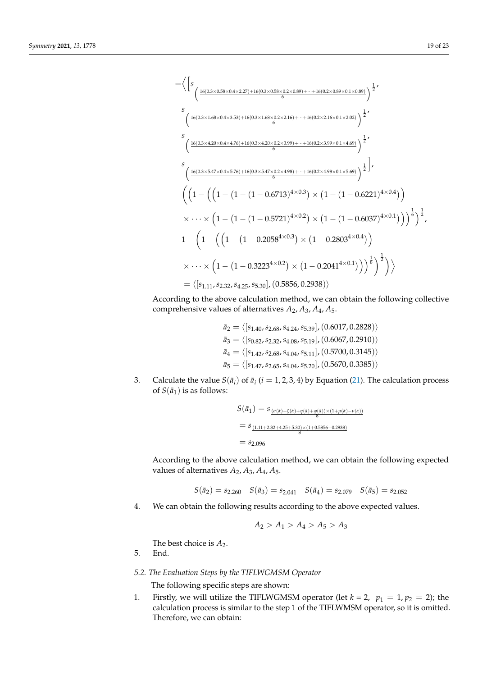$$
= \Big\langle \Big[ s \frac{16(0.3\times0.58\times0.4\times2.27)+16(0.3\times0.58\times0.2\times0.89)+\cdots+16(0.2\times0.89\times0.1\times0.89)}{6} \Big)^{\frac{1}{2}}' \Big\rangle
$$
  
\n
$$
s \frac{16(0.3\times1.68\times0.4\times3.53)+16(0.3\times1.68\times0.2\times2.16)+\cdots+16(0.2\times2.16\times0.1\times2.02)}{6} \Big)^{\frac{1}{2}}'
$$
  
\n
$$
s \frac{16(0.3\times4.20\times0.4\times4.76)+16(0.3\times4.20\times0.2\times3.99)+\cdots+16(0.2\times3.99\times0.1\times4.69)}{6} \Big)^{\frac{1}{2}}'
$$
  
\n
$$
s \left( \frac{16(0.3\times5.47\times0.4\times5.76)+16(0.3\times5.47\times0.2\times4.98)+\cdots+16(0.2\times4.98\times0.1\times5.69)}{6} \Big)^{\frac{1}{2}} \Big\rangle
$$
  
\n
$$
s \left( \left( 1 - \left( \left( 1 - (1 - (1 - 0.6713)^{4\times0.3}) \times (1 - (1 - 0.6221)^{4\times0.4}) \right) \right) \right.\times \cdots \times \left( 1 - (1 - (1 - 0.5721)^{4\times0.2}) \times (1 - (1 - 0.6037)^{4\times0.1}) \right) \Big)^{\frac{1}{6}} \Big)^{\frac{1}{2}}
$$
  
\n
$$
1 - \left( 1 - \left( \left( 1 - (1 - 0.2058^{4\times0.3}) \times (1 - 0.2803^{4\times0.4}) \right) \right. \times \cdots \times \left( 1 - (1 - 0.3223^{4\times0.2}) \times (1 - 0.2041^{4\times0.1}) \right) \Big)^{\frac{1}{6}} \right)^{\frac{1}{2}}
$$
  
\n
$$
= \langle [s_{1
$$

According to the above calculation method, we can obtain the following collective comprehensive values of alternatives *A*2, *A*3, *A*4, *A*5.

- $\bar{a}_2 = \langle [s_{1.40}, s_{2.68}, s_{4.24}, s_{5.39}], (0.6017, 0.2828) \rangle$  $\bar{a}_3 = \langle [s_{0.82}, s_{2.32}, s_{4.08}, s_{5.19}], (0.6067, 0.2910) \rangle$  $\bar{a}_4 = \langle [s_{1.42}, s_{2.68}, s_{4.04}, s_{5.11}], (0.5700, 0.3145) \rangle$  $\bar{a}_5 = \langle [s_{1.47}, s_{2.65}, s_{4.04}, s_{5.20}], (0.5670, 0.3385) \rangle$
- 3. Calculate the value  $S(\bar{a}_i)$  of  $\bar{a}_i$  (*i* = 1, 2, 3, 4) by Equation [\(21\)](#page-3-1). The calculation process of  $S(\bar{a}_1)$  is as follows:

$$
S(\bar{a}_1) = s_{\frac{(\sigma(\bar{\alpha}) + \zeta(\bar{\alpha}) + \eta(\bar{\alpha}) + \varphi(\bar{\alpha})) \times (1 + \mu(\bar{\alpha}) - \nu(\bar{\alpha}))}{8}}
$$
  
=  $s_{\frac{(1.11 + 2.32 + 4.25 + 5.30) \times (1 + 0.5856 - 0.2938)}{8}}$   
=  $s_{2.096}$ 

According to the above calculation method, we can obtain the following expected values of alternatives  $A_2$ ,  $A_3$ ,  $A_4$ ,  $A_5$ .

$$
S(\bar{a}_2) = s_{2.260}
$$
  $S(\bar{a}_3) = s_{2.041}$   $S(\bar{a}_4) = s_{2.079}$   $S(\bar{a}_5) = s_{2.052}$ 

4. We can obtain the following results according to the above expected values.

$$
A_2 > A_1 > A_4 > A_5 > A_3
$$

The best choice is  $A_2$ .

5. End.

# *5.2. The Evaluation Steps by the TIFLWGMSM Operator*

The following specific steps are shown:

1. Firstly, we will utilize the TIFLWGMSM operator (let  $k = 2$ ,  $p_1 = 1$ ,  $p_2 = 2$ ); the calculation process is similar to the step 1 of the TIFLWMSM operator, so it is omitted. Therefore, we can obtain: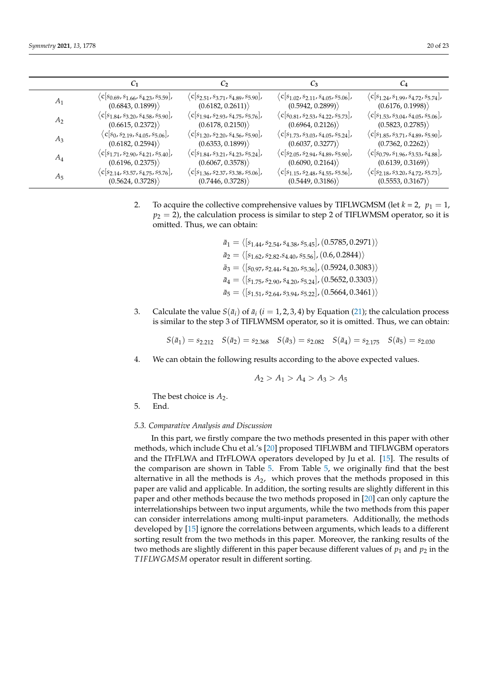|       |                                                          | $\mathcal{C}_2$                                           | $C_3$                                                    |                                                           |
|-------|----------------------------------------------------------|-----------------------------------------------------------|----------------------------------------------------------|-----------------------------------------------------------|
| $A_1$ | $\langle c   s_{0.69}, s_{1.66}, s_{4.23}, s_{5.59}  $ , | $\langle c   s_{2.51}, s_{3.71}, s_{4.89}, s_{5.90}  $ ,  | $\langle c   s_{1.02}, s_{2.11}, s_{4.05}, s_{5.06}  $   | $\langle c s_{1.24}, s_{1.99}, s_{4.72}, s_{5.74}\rangle$ |
|       | (0.6843, 0.1899)                                         | (0.6182, 0.2611)                                          | (0.5942, 0.2899)                                         | (0.6176, 0.1998)                                          |
| $A_2$ | $\langle c   s_{1.84}, s_{3.20}, s_{4.58}, s_{5.90}  $ , | $\langle c   s_{1.94}, s_{2.93}, s_{4.75}, s_{5.76}  $ ,  | $\langle c   s_{0.81}, s_{2.53}, s_{4.22}, s_{5.73}  $ , | $\langle c s_{1.53}, s_{3.04}, s_{4.05}, s_{5.06}\rangle$ |
|       | (0.6615, 0.2372)                                         | (0.6178, 0.2150)                                          | (0.6964, 0.2126)                                         | (0.5823, 0.2785)                                          |
| $A_3$ | $\langle c   s_0, s_{2.19}, s_{4.05}, s_{5.06}  $ ,      | $\langle c   s_{1.20}, s_{2.20}, s_{4.56}, s_{5.90}  $ ,  | $\langle c[s_{1.73}, s_{3.03}, s_{4.05}, s_{5.24}],$     | $\langle c[s_{1.85}, s_{3.71}, s_{4.89}, s_{5.90}],$      |
|       | (0.6182, 0.2594)                                         | (0.6353, 0.1899)                                          | (0.6037, 0.3277)                                         | (0.7362, 0.2262)                                          |
| $A_4$ | $\langle c[s_{1.71}, s_{2.90}, s_{4.21}, s_{5.40}],$     | $\langle c s_{1.84}, s_{3.21}, s_{4.23}, s_{5.24}\rangle$ | $\langle c[s_{2.05}, s_{2.94}, s_{4.89}, s_{5.90}],$     | $\langle c   s_{0.79}, s_{1.96}, s_{3.53}, s_{4.88}  $ ,  |
|       | (0.6196, 0.2375)                                         | (0.6067, 0.3578)                                          | (0.6090, 0.2164)                                         | (0.6139, 0.3169)                                          |
| $A_5$ | $\langle c[s_{2.14}, s_{3.57}, s_{4.75}, s_{5.76}],$     | $\langle c[s_{1.36}, s_{2.37}, s_{3.38}, s_{5.06}],$      | $\langle c[s_{1.15}, s_{2.48}, s_{4.55}, s_{5.56}],$     | $\langle c[s_{2.18}, s_{3.20}, s_{4.72}, s_{5.73}],$      |
|       | (0.5624, 0.3728)                                         | (0.7446, 0.3728)                                          | (0.5449, 0.3186)                                         | (0.5553, 0.3167)                                          |

2. To acquire the collective comprehensive values by TIFLWGMSM (let  $k = 2$ ,  $p_1 = 1$ ,  $p_2 = 2$ ), the calculation process is similar to step 2 of TIFLWMSM operator, so it is omitted. Thus, we can obtain:

> $\bar{a}_1 = \langle [s_{1.44}, s_{2.54}, s_{4.38}, s_{5.45}], (0.5785, 0.2971) \rangle$  $\bar{a}_2 = \langle [s_{1.62}, s_{2.82}.s_{4.40}, s_{5.56}], (0.6, 0.2844) \rangle$  $\bar{a}_3 = \langle [s_{0.97}, s_{2.44}, s_{4.20}, s_{5.36}], (0.5924, 0.3083)\rangle$  $\bar{a}_4 = \langle [s_{1.75}, s_{2.90}, s_{4.20}, s_{5.24}], (0.5652, 0.3303)\rangle$  $\bar{a}_5 = \langle [s_{1.51}, s_{2.64}, s_{3.94}, s_{5.22}], (0.5664, 0.3461) \rangle$

3. Calculate the value  $S(\bar{a}_i)$  of  $\bar{a}_i$  (*i* = 1, 2, 3, 4) by Equation [\(21\)](#page-3-1); the calculation process is similar to the step 3 of TIFLWMSM operator, so it is omitted. Thus, we can obtain:

 $S(\bar{a}_1) = s_{2.212}$   $S(\bar{a}_2) = s_{2.368}$   $S(\bar{a}_3) = s_{2.082}$   $S(\bar{a}_4) = s_{2.175}$   $S(\bar{a}_5) = s_{2.030}$ 

4. We can obtain the following results according to the above expected values.

$$
A_2 > A_1 > A_4 > A_3 > A_5
$$

The best choice is  $A_2$ .

5. End.

### *5.3. Comparative Analysis and Discussion*

In this part, we firstly compare the two methods presented in this paper with other methods, which include Chu et al.'s [\[20\]](#page-22-3) proposed TIFLWBM and TIFLWGBM operators and the ITrFLWA and ITrFLOWA operators developed by Ju et al. [\[15\]](#page-21-14). The results of the comparison are shown in Table [5.](#page-20-0) From Table [5,](#page-20-0) we originally find that the best alternative in all the methods is  $A_2$ , which proves that the methods proposed in this paper are valid and applicable. In addition, the sorting results are slightly different in this paper and other methods because the two methods proposed in [\[20\]](#page-22-3) can only capture the interrelationships between two input arguments, while the two methods from this paper can consider interrelations among multi-input parameters. Additionally, the methods developed by [\[15\]](#page-21-14) ignore the correlations between arguments, which leads to a different sorting result from the two methods in this paper. Moreover, the ranking results of the two methods are slightly different in this paper because different values of  $p_1$  and  $p_2$  in the *T IFLWGMSM* operator result in different sorting.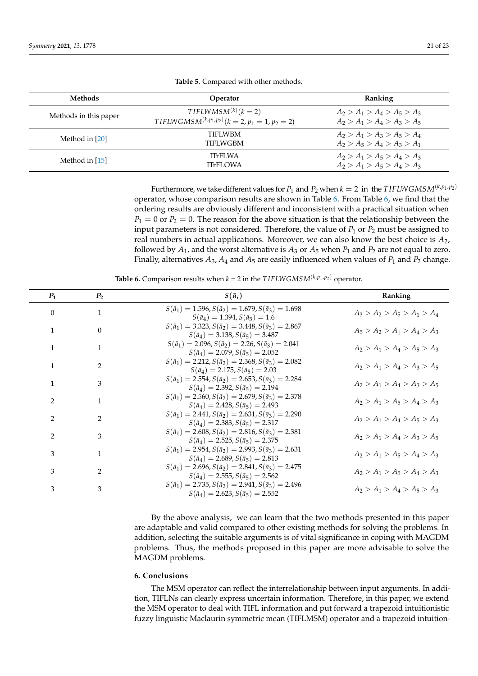<span id="page-20-0"></span>

| <b>Methods</b>        | Operator                                                                          | Ranking                                                        |
|-----------------------|-----------------------------------------------------------------------------------|----------------------------------------------------------------|
| Methods in this paper | $TIFLWMSM^{(k)}$ (k = 2)<br>$TIFLWGMSM^{(k,p_1,p_2)}$ $(k = 2, p_1 = 1, p_2 = 2)$ | $A_2 > A_1 > A_4 > A_5 > A_3$<br>$A_2 > A_1 > A_4 > A_3 > A_5$ |
| Method in [20]        | <b>TIFI WBM</b><br><b>TIFLWGBM</b>                                                | $A_2 > A_1 > A_3 > A_5 > A_4$<br>$A_2 > A_5 > A_4 > A_3 > A_1$ |
| Method in [15]        | <b>ITrFLWA</b><br><b>ITrFLOWA</b>                                                 | $A_2 > A_1 > A_5 > A_4 > A_3$<br>$A_2 > A_1 > A_5 > A_4 > A_3$ |

**Table 5.** Compared with other methods.

Furthermore, we take different values for  $P_1$  and  $P_2$  when  $k = 2$  in the TIFLWGMSM<sup>( $k, p_1, p_2$ )</sup> operator, whose comparison results are shown in Table [6.](#page-20-1) From Table [6,](#page-20-1) we find that the ordering results are obviously different and inconsistent with a practical situation when  $P_1 = 0$  or  $P_2 = 0$ . The reason for the above situation is that the relationship between the input parameters is not considered. Therefore, the value of  $P_1$  or  $P_2$  must be assigned to real numbers in actual applications. Moreover, we can also know the best choice is *A*2, followed by  $A_1$ , and the worst alternative is  $A_3$  or  $A_5$  when  $P_1$  and  $P_2$  are not equal to zero. Finally, alternatives  $A_3$ ,  $A_4$  and  $A_5$  are easily influenced when values of  $P_1$  and  $P_2$  change.

**Table 6.** Comparison results when  $k = 2$  in the *TIFLWGMSM*<sup>( $k, p_1, p_2$ ) operator.</sup>

<span id="page-20-1"></span>

| $P_1$          | P <sub>2</sub> | $S(\bar{a}_i)$                                                                                                           | Ranking                       |
|----------------|----------------|--------------------------------------------------------------------------------------------------------------------------|-------------------------------|
| $\theta$       | 1              | $S(\bar{a}_1) = 1.596$ , $S(\bar{a}_2) = 1.679$ , $S(\bar{a}_3) = 1.698$<br>$S(\bar{a}_4) = 1.394, S(\bar{a}_5) = 1.6$   | $A_3 > A_2 > A_5 > A_1 > A_4$ |
| 1              | $\Omega$       | $S(\bar{a}_1) = 3.323, S(\bar{a}_2) = 3.448, S(\bar{a}_3) = 2.867$<br>$S(\bar{a}_4) = 3.138, S(\bar{a}_5) = 3.487$       | $A_5 > A_2 > A_1 > A_4 > A_3$ |
| 1              | $\mathbf{1}$   | $S(\bar{a}_1) = 2.096$ , $S(\bar{a}_2) = 2.26$ , $S(\bar{a}_3) = 2.041$<br>$S(\bar{a}_4) = 2.079, S(\bar{a}_5) = 2.052$  | $A_2 > A_1 > A_4 > A_5 > A_3$ |
| $\mathbf{1}$   | $\overline{2}$ | $S(\bar{a}_1) = 2.212, S(\bar{a}_2) = 2.368, S(\bar{a}_3) = 2.082$<br>$S(\bar{a}_4) = 2.175, S(\bar{a}_5) = 2.03$        | $A_2 > A_1 > A_4 > A_3 > A_5$ |
| $\mathbf{1}$   | 3              | $S(\bar{a}_1) = 2.554, S(\bar{a}_2) = 2.653, S(\bar{a}_3) = 2.284$<br>$S(\bar{a}_4) = 2.392, S(\bar{a}_5) = 2.194$       | $A_2 > A_1 > A_4 > A_3 > A_5$ |
| $\overline{2}$ | $\mathbf{1}$   | $S(\bar{a}_1) = 2.560, S(\bar{a}_2) = 2.679, S(\bar{a}_3) = 2.378$<br>$S(\bar{a}_4) = 2.428, S(\bar{a}_5) = 2.493$       | $A_2 > A_1 > A_5 > A_4 > A_3$ |
| $\overline{2}$ | $\mathcal{D}$  | $S(\bar{a}_1) = 2.441, S(\bar{a}_2) = 2.631, S(\bar{a}_3) = 2.290$<br>$S(\bar{a}_4) = 2.383, S(\bar{a}_5) = 2.317$       | $A_2 > A_1 > A_4 > A_5 > A_3$ |
| $\overline{2}$ | 3              | $S(\bar{a}_1) = 2.608$ , $S(\bar{a}_2) = 2.816$ , $S(\bar{a}_3) = 2.381$<br>$S(\bar{a}_4) = 2.525, S(\bar{a}_5) = 2.375$ | $A_2 > A_1 > A_4 > A_3 > A_5$ |
| 3              | $\mathbf{1}$   | $S(\bar{a}_1) = 2.954, S(\bar{a}_2) = 2.993, S(\bar{a}_3) = 2.631$<br>$S(\bar{a}_4) = 2.689, S(\bar{a}_5) = 2.813$       | $A_2 > A_1 > A_5 > A_4 > A_3$ |
| 3              | $\mathcal{P}$  | $S(\bar{a}_1) = 2.696, S(\bar{a}_2) = 2.841, S(\bar{a}_3) = 2.475$<br>$S(\bar{a}_4) = 2.555, S(\bar{a}_5) = 2.562$       | $A_2 > A_1 > A_5 > A_4 > A_3$ |
| 3              | 3              | $S(\bar{a}_1) = 2.735, S(\bar{a}_2) = 2.941, S(\bar{a}_3) = 2.496$<br>$S(\bar{a}_4) = 2.623, S(\bar{a}_5) = 2.552$       | $A_2 > A_1 > A_4 > A_5 > A_3$ |

By the above analysis, we can learn that the two methods presented in this paper are adaptable and valid compared to other existing methods for solving the problems. In addition, selecting the suitable arguments is of vital significance in coping with MAGDM problems. Thus, the methods proposed in this paper are more advisable to solve the MAGDM problems.

### **6. Conclusions**

The MSM operator can reflect the interrelationship between input arguments. In addition, TIFLNs can clearly express uncertain information. Therefore, in this paper, we extend the MSM operator to deal with TIFL information and put forward a trapezoid intuitionistic fuzzy linguistic Maclaurin symmetric mean (TIFLMSM) operator and a trapezoid intuition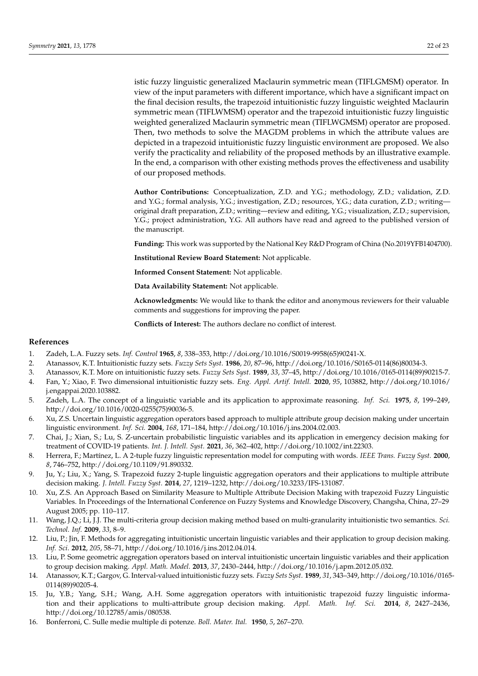istic fuzzy linguistic generalized Maclaurin symmetric mean (TIFLGMSM) operator. In view of the input parameters with different importance, which have a significant impact on the final decision results, the trapezoid intuitionistic fuzzy linguistic weighted Maclaurin symmetric mean (TIFLWMSM) operator and the trapezoid intuitionistic fuzzy linguistic weighted generalized Maclaurin symmetric mean (TIFLWGMSM) operator are proposed. Then, two methods to solve the MAGDM problems in which the attribute values are depicted in a trapezoid intuitionistic fuzzy linguistic environment are proposed. We also verify the practicality and reliability of the proposed methods by an illustrative example. In the end, a comparison with other existing methods proves the effectiveness and usability of our proposed methods.

**Author Contributions:** Conceptualization, Z.D. and Y.G.; methodology, Z.D.; validation, Z.D. and Y.G.; formal analysis, Y.G.; investigation, Z.D.; resources, Y.G.; data curation, Z.D.; writing original draft preparation, Z.D.; writing—review and editing, Y.G.; visualization, Z.D.; supervision, Y.G.; project administration, Y.G. All authors have read and agreed to the published version of the manuscript.

**Funding:** This work was supported by the National Key R&D Program of China (No.2019YFB1404700).

**Institutional Review Board Statement:** Not applicable.

**Informed Consent Statement:** Not applicable.

**Data Availability Statement:** Not applicable.

**Acknowledgments:** We would like to thank the editor and anonymous reviewers for their valuable comments and suggestions for improving the paper.

**Conflicts of Interest:** The authors declare no conflict of interest.

# **References**

- <span id="page-21-0"></span>1. Zadeh, L.A. Fuzzy sets. *Inf. Control* **1965**, *8*, 338–353, http://doi.org/10.1016/S0019-9958(65)90241-X.
- <span id="page-21-1"></span>2. Atanassov, K.T. Intuitionistic fuzzy sets. *Fuzzy Sets Syst*. **1986**, *20*, 87–96, http://doi.org/10.1016/S0165-0114(86)80034-3.
- <span id="page-21-2"></span>3. Atanassov, K.T. More on intuitionistic fuzzy sets. *Fuzzy Sets Syst*. **1989**, *33*, 37–45, http://doi.org/10.1016/0165-0114(89)90215-7.
- <span id="page-21-3"></span>4. Fan, Y.; Xiao, F. Two dimensional intuitionistic fuzzy sets. *Eng. Appl. Artif. Intell.* **2020**, *95*, 103882, http://doi.org/10.1016/ j.engappai.2020.103882.
- <span id="page-21-4"></span>5. Zadeh, L.A. The concept of a linguistic variable and its application to approximate reasoning. *Inf. Sci.* **1975**, *8*, 199–249, http://doi.org/10.1016/0020-0255(75)90036-5.
- <span id="page-21-5"></span>6. Xu, Z.S. Uncertain linguistic aggregation operators based approach to multiple attribute group decision making under uncertain linguistic environment. *Inf. Sci.* **2004**, *168*, 171–184, http://doi.org/10.1016/j.ins.2004.02.003.
- <span id="page-21-6"></span>7. Chai, J.; Xian, S.; Lu, S. Z-uncertain probabilistic linguistic variables and its application in emergency decision making for treatment of COVID-19 patients. *Int. J. Intell. Syst.* **2021**, *36*, 362–402, http://doi.org/10.1002/int.22303.
- <span id="page-21-7"></span>8. Herrera, F.; Martínez, L. A 2-tuple fuzzy linguistic representation model for computing with words. *IEEE Trans. Fuzzy Syst.* **2000**, *8*, 746–752, http://doi.org/10.1109/91.890332.
- <span id="page-21-8"></span>9. Ju, Y.; Liu, X.; Yang, S. Trapezoid fuzzy 2-tuple linguistic aggregation operators and their applications to multiple attribute decision making. *J. Intell. Fuzzy Syst.* **2014**, *27*, 1219–1232, http://doi.org/10.3233/IFS-131087.
- <span id="page-21-9"></span>10. Xu, Z.S. An Approach Based on Similarity Measure to Multiple Attribute Decision Making with trapezoid Fuzzy Linguistic Variables. In Proceedings of the International Conference on Fuzzy Systems and Knowledge Discovery, Changsha, China, 27–29 August 2005; pp. 110–117.
- <span id="page-21-10"></span>11. Wang, J.Q.; Li, J.J. The multi-criteria group decision making method based on multi-granularity intuitionistic two semantics. *Sci. Technol. Inf*. **2009**, *33*, 8–9.
- <span id="page-21-11"></span>12. Liu, P.; Jin, F. Methods for aggregating intuitionistic uncertain linguistic variables and their application to group decision making. *Inf. Sci*. **2012**, *205*, 58–71, http://doi.org/10.1016/j.ins.2012.04.014.
- <span id="page-21-12"></span>13. Liu, P. Some geometric aggregation operators based on interval intuitionistic uncertain linguistic variables and their application to group decision making. *Appl. Math. Model*. **2013**, *37*, 2430–2444, http://doi.org/10.1016/j.apm.2012.05.032.
- <span id="page-21-13"></span>14. Atanassov, K.T.; Gargov, G. Interval-valued intuitionistic fuzzy sets. *Fuzzy Sets Syst*. **1989**, *31*, 343–349, http://doi.org/10.1016/0165- 0114(89)90205-4.
- <span id="page-21-14"></span>15. Ju, Y.B.; Yang, S.H.; Wang, A.H. Some aggregation operators with intuitionistic trapezoid fuzzy linguistic information and their applications to multi-attribute group decision making. *Appl. Math. Inf. Sci.* **2014**, *8*, 2427–2436, http://doi.org/10.12785/amis/080538.
- <span id="page-21-15"></span>16. Bonferroni, C. Sulle medie multiple di potenze. *Boll. Mater. Ital.* **1950**, *5*, 267–270.